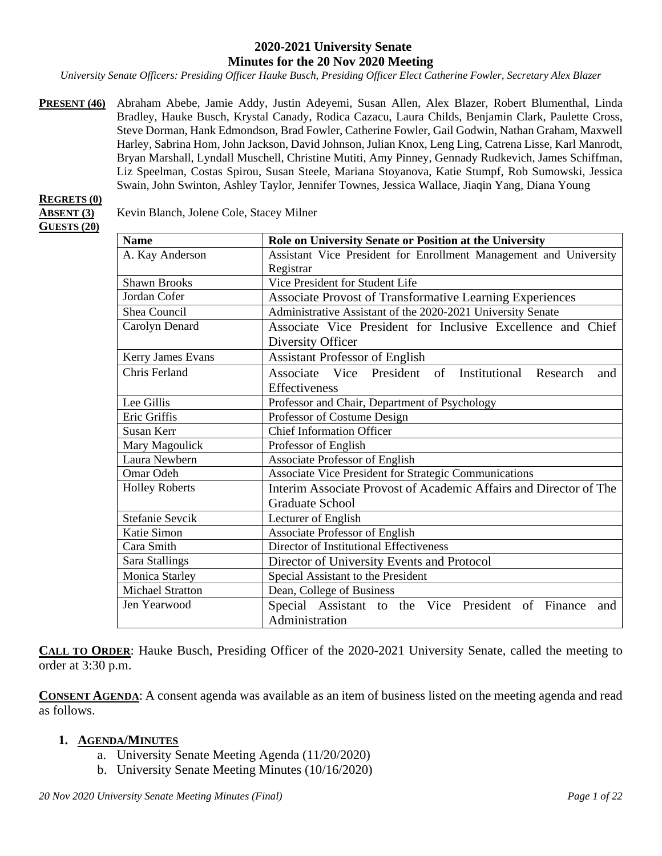#### **2020-2021 University Senate Minutes for the 20 Nov 2020 Meeting**

*University Senate Officers: Presiding Officer Hauke Busch, Presiding Officer Elect Catherine Fowler, Secretary Alex Blazer*

**PRESENT (46)** Abraham Abebe, Jamie Addy, Justin Adeyemi, Susan Allen, Alex Blazer, Robert Blumenthal, Linda Bradley, Hauke Busch, Krystal Canady, Rodica Cazacu, Laura Childs, Benjamin Clark, Paulette Cross, Steve Dorman, Hank Edmondson, Brad Fowler, Catherine Fowler, Gail Godwin, Nathan Graham, Maxwell Harley, Sabrina Hom, John Jackson, David Johnson, Julian Knox, Leng Ling, Catrena Lisse, Karl Manrodt, Bryan Marshall, Lyndall Muschell, Christine Mutiti, Amy Pinney, Gennady Rudkevich, James Schiffman, Liz Speelman, Costas Spirou, Susan Steele, Mariana Stoyanova, Katie Stumpf, Rob Sumowski, Jessica Swain, John Swinton, Ashley Taylor, Jennifer Townes, Jessica Wallace, Jiaqin Yang, Diana Young

# **REGRETS (0)**

**GUESTS (20)**

**ABSENT (3)** Kevin Blanch, Jolene Cole, Stacey Milner

| <b>Name</b>             | Role on University Senate or Position at the University           |
|-------------------------|-------------------------------------------------------------------|
| A. Kay Anderson         | Assistant Vice President for Enrollment Management and University |
|                         | Registrar                                                         |
| <b>Shawn Brooks</b>     | Vice President for Student Life                                   |
| Jordan Cofer            | <b>Associate Provost of Transformative Learning Experiences</b>   |
| Shea Council            | Administrative Assistant of the 2020-2021 University Senate       |
|                         |                                                                   |
| Carolyn Denard          | Associate Vice President for Inclusive Excellence and Chief       |
|                         | Diversity Officer                                                 |
| Kerry James Evans       | <b>Assistant Professor of English</b>                             |
| Chris Ferland           | of Institutional<br>Associate Vice President<br>Research<br>and   |
|                         | Effectiveness                                                     |
| Lee Gillis              | Professor and Chair, Department of Psychology                     |
| Eric Griffis            | Professor of Costume Design                                       |
| Susan Kerr              | <b>Chief Information Officer</b>                                  |
| Mary Magoulick          | Professor of English                                              |
| Laura Newbern           | Associate Professor of English                                    |
| Omar Odeh               | Associate Vice President for Strategic Communications             |
| <b>Holley Roberts</b>   | Interim Associate Provost of Academic Affairs and Director of The |
|                         | <b>Graduate School</b>                                            |
| Stefanie Sevcik         | Lecturer of English                                               |
| Katie Simon             | Associate Professor of English                                    |
| Cara Smith              | Director of Institutional Effectiveness                           |
| Sara Stallings          | Director of University Events and Protocol                        |
| Monica Starley          | Special Assistant to the President                                |
| <b>Michael Stratton</b> | Dean, College of Business                                         |
| Jen Yearwood            | Special Assistant to the Vice President of<br>Finance<br>and      |
|                         | Administration                                                    |

**CALL TO ORDER**: Hauke Busch, Presiding Officer of the 2020-2021 University Senate, called the meeting to order at 3:30 p.m.

**CONSENT AGENDA**: A consent agenda was available as an item of business listed on the meeting agenda and read as follows.

## **1. AGENDA/MINUTES**

- a. University Senate Meeting Agenda (11/20/2020)
- b. University Senate Meeting Minutes (10/16/2020)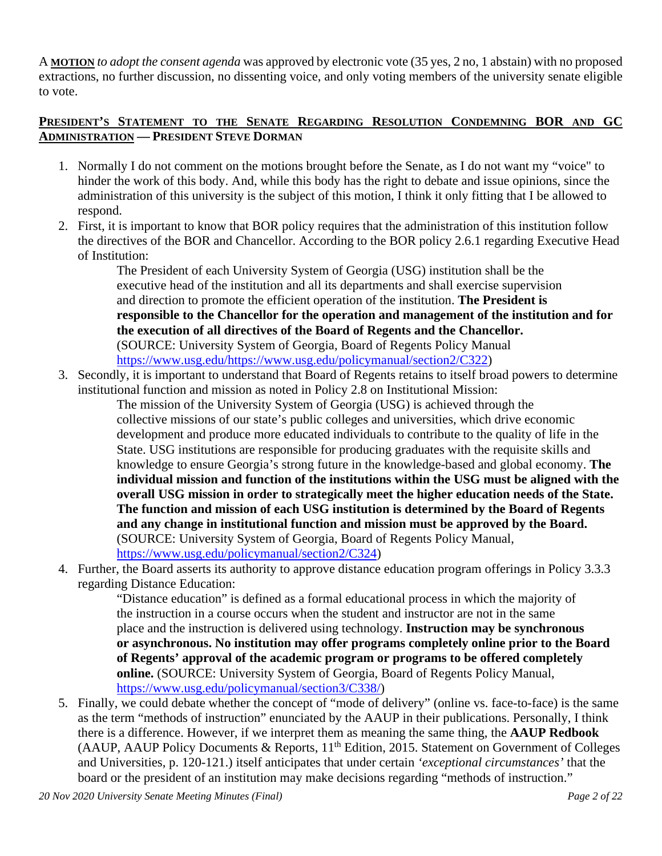A **MOTION** *to adopt the consent agenda* was approved by electronic vote (35 yes, 2 no, 1 abstain) with no proposed extractions, no further discussion, no dissenting voice, and only voting members of the university senate eligible to vote.

## **PRESIDENT'S STATEMENT TO THE SENATE REGARDING RESOLUTION CONDEMNING BOR AND GC ADMINISTRATION — PRESIDENT STEVE DORMAN**

- 1. Normally I do not comment on the motions brought before the Senate, as I do not want my "voice" to hinder the work of this body. And, while this body has the right to debate and issue opinions, since the administration of this university is the subject of this motion, I think it only fitting that I be allowed to respond.
- 2. First, it is important to know that BOR policy requires that the administration of this institution follow the directives of the BOR and Chancellor. According to the BOR policy 2.6.1 regarding Executive Head of Institution:

The President of each University System of Georgia (USG) institution shall be the executive head of the institution and all its departments and shall exercise supervision and direction to promote the efficient operation of the institution. **The President is responsible to the Chancellor for the operation and management of the institution and for the execution of all directives of the Board of Regents and the Chancellor.**  (SOURCE: University System of Georgia, Board of Regents Policy Manual [https://www.usg.edu/https://www.usg.edu/policymanual/section2/C322\)](https://www.usg.edu/https:/www.usg.edu/policymanual/section2/C322)

3. Secondly, it is important to understand that Board of Regents retains to itself broad powers to determine institutional function and mission as noted in Policy 2.8 on Institutional Mission:

The mission of the University System of Georgia (USG) is achieved through the collective missions of our state's public colleges and universities, which drive economic development and produce more educated individuals to contribute to the quality of life in the State. USG institutions are responsible for producing graduates with the requisite skills and knowledge to ensure Georgia's strong future in the knowledge-based and global economy. **The individual mission and function of the institutions within the USG must be aligned with the overall USG mission in order to strategically meet the higher education needs of the State. The function and mission of each USG institution is determined by the Board of Regents and any change in institutional function and mission must be approved by the Board.**  (SOURCE: University System of Georgia, Board of Regents Policy Manual, [https://www.usg.edu/policymanual/section2/C324\)](https://www.usg.edu/policymanual/section2/C324)

4. Further, the Board asserts its authority to approve distance education program offerings in Policy 3.3.3 regarding Distance Education:

"Distance education" is defined as a formal educational process in which the majority of the instruction in a course occurs when the student and instructor are not in the same place and the instruction is delivered using technology. **Instruction may be synchronous or asynchronous. No institution may offer programs completely online prior to the Board of Regents' approval of the academic program or programs to be offered completely online.** (SOURCE: University System of Georgia, Board of Regents Policy Manual, [https://www.usg.edu/policymanual/section3/C338/\)](https://www.usg.edu/policymanual/section3/C338/)

5. Finally, we could debate whether the concept of "mode of delivery" (online vs. face-to-face) is the same as the term "methods of instruction" enunciated by the AAUP in their publications. Personally, I think there is a difference. However, if we interpret them as meaning the same thing, the **AAUP Redbook**  (AAUP, AAUP Policy Documents & Reports, 11<sup>th</sup> Edition, 2015. Statement on Government of Colleges and Universities, p. 120-121.) itself anticipates that under certain *'exceptional circumstances'* that the board or the president of an institution may make decisions regarding "methods of instruction."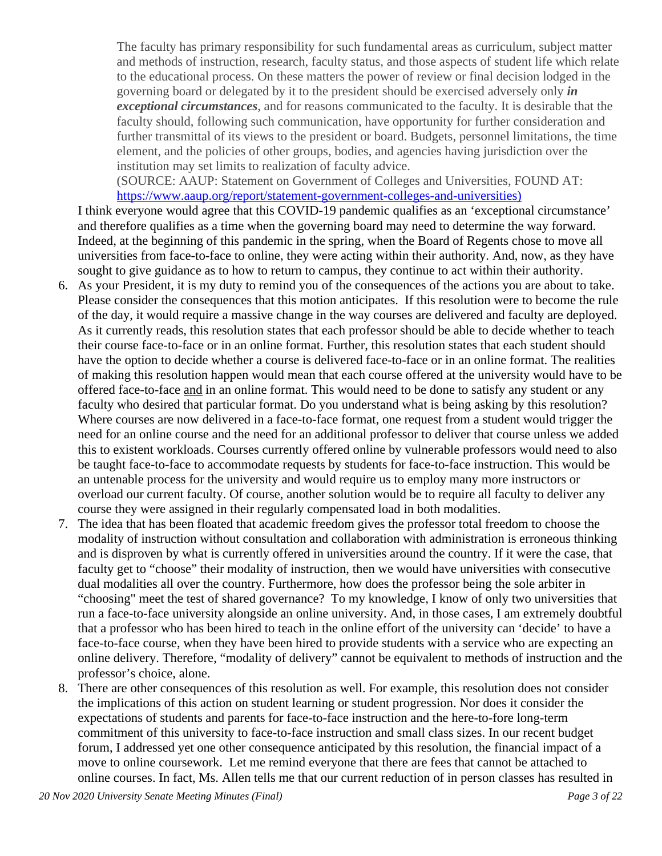The faculty has primary responsibility for such fundamental areas as curriculum, subject matter and methods of instruction, research, faculty status, and those aspects of student life which relate to the educational process. On these matters the power of review or final decision lodged in the governing board or delegated by it to the president should be exercised adversely only *in exceptional circumstances*, and for reasons communicated to the faculty. It is desirable that the faculty should, following such communication, have opportunity for further consideration and further transmittal of its views to the president or board. Budgets, personnel limitations, the time element, and the policies of other groups, bodies, and agencies having jurisdiction over the institution may set limits to realization of faculty advice.

(SOURCE: AAUP: Statement on Government of Colleges and Universities, FOUND AT: [https://www.aaup.org/report/statement-government-colleges-and-universities\)](https://www.aaup.org/report/statement-government-colleges-and-universities)

I think everyone would agree that this COVID-19 pandemic qualifies as an 'exceptional circumstance' and therefore qualifies as a time when the governing board may need to determine the way forward. Indeed, at the beginning of this pandemic in the spring, when the Board of Regents chose to move all universities from face-to-face to online, they were acting within their authority. And, now, as they have sought to give guidance as to how to return to campus, they continue to act within their authority.

- 6. As your President, it is my duty to remind you of the consequences of the actions you are about to take. Please consider the consequences that this motion anticipates. If this resolution were to become the rule of the day, it would require a massive change in the way courses are delivered and faculty are deployed. As it currently reads, this resolution states that each professor should be able to decide whether to teach their course face-to-face or in an online format. Further, this resolution states that each student should have the option to decide whether a course is delivered face-to-face or in an online format. The realities of making this resolution happen would mean that each course offered at the university would have to be offered face-to-face and in an online format. This would need to be done to satisfy any student or any faculty who desired that particular format. Do you understand what is being asking by this resolution? Where courses are now delivered in a face-to-face format, one request from a student would trigger the need for an online course and the need for an additional professor to deliver that course unless we added this to existent workloads. Courses currently offered online by vulnerable professors would need to also be taught face-to-face to accommodate requests by students for face-to-face instruction. This would be an untenable process for the university and would require us to employ many more instructors or overload our current faculty. Of course, another solution would be to require all faculty to deliver any course they were assigned in their regularly compensated load in both modalities.
- 7. The idea that has been floated that academic freedom gives the professor total freedom to choose the modality of instruction without consultation and collaboration with administration is erroneous thinking and is disproven by what is currently offered in universities around the country. If it were the case, that faculty get to "choose" their modality of instruction, then we would have universities with consecutive dual modalities all over the country. Furthermore, how does the professor being the sole arbiter in "choosing" meet the test of shared governance? To my knowledge, I know of only two universities that run a face-to-face university alongside an online university. And, in those cases, I am extremely doubtful that a professor who has been hired to teach in the online effort of the university can 'decide' to have a face-to-face course, when they have been hired to provide students with a service who are expecting an online delivery. Therefore, "modality of delivery" cannot be equivalent to methods of instruction and the professor's choice, alone.
- 8. There are other consequences of this resolution as well. For example, this resolution does not consider the implications of this action on student learning or student progression. Nor does it consider the expectations of students and parents for face-to-face instruction and the here-to-fore long-term commitment of this university to face-to-face instruction and small class sizes. In our recent budget forum, I addressed yet one other consequence anticipated by this resolution, the financial impact of a move to online coursework. Let me remind everyone that there are fees that cannot be attached to online courses. In fact, Ms. Allen tells me that our current reduction of in person classes has resulted in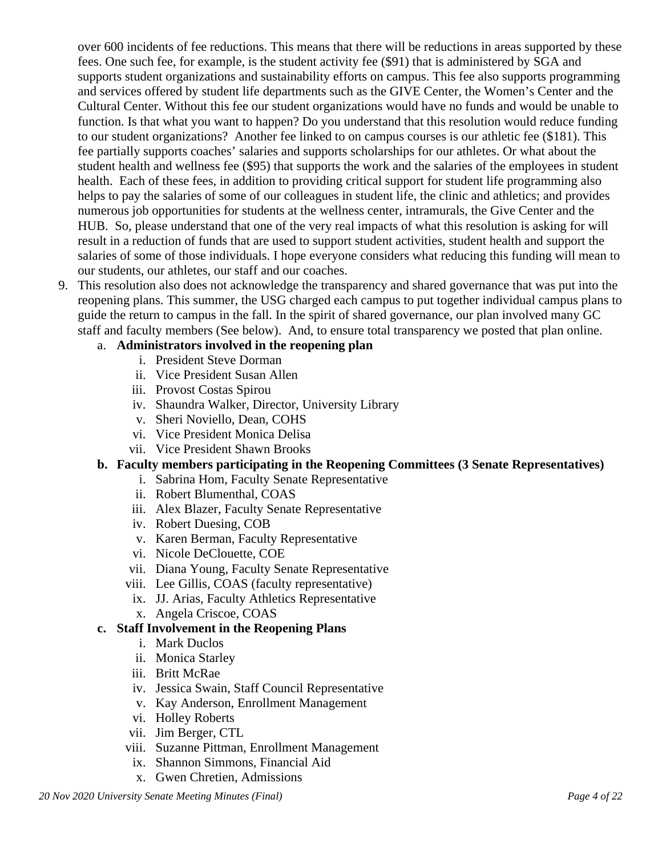over 600 incidents of fee reductions. This means that there will be reductions in areas supported by these fees. One such fee, for example, is the student activity fee (\$91) that is administered by SGA and supports student organizations and sustainability efforts on campus. This fee also supports programming and services offered by student life departments such as the GIVE Center, the Women's Center and the Cultural Center. Without this fee our student organizations would have no funds and would be unable to function. Is that what you want to happen? Do you understand that this resolution would reduce funding to our student organizations? Another fee linked to on campus courses is our athletic fee (\$181). This fee partially supports coaches' salaries and supports scholarships for our athletes. Or what about the student health and wellness fee (\$95) that supports the work and the salaries of the employees in student health. Each of these fees, in addition to providing critical support for student life programming also helps to pay the salaries of some of our colleagues in student life, the clinic and athletics; and provides numerous job opportunities for students at the wellness center, intramurals, the Give Center and the HUB. So, please understand that one of the very real impacts of what this resolution is asking for will result in a reduction of funds that are used to support student activities, student health and support the salaries of some of those individuals. I hope everyone considers what reducing this funding will mean to our students, our athletes, our staff and our coaches.

9. This resolution also does not acknowledge the transparency and shared governance that was put into the reopening plans. This summer, the USG charged each campus to put together individual campus plans to guide the return to campus in the fall. In the spirit of shared governance, our plan involved many GC staff and faculty members (See below). And, to ensure total transparency we posted that plan online.

#### a. **Administrators involved in the reopening plan**

- i. President Steve Dorman
- ii. Vice President Susan Allen
- iii. Provost Costas Spirou
- iv. Shaundra Walker, Director, University Library
- v. Sheri Noviello, Dean, COHS
- vi. Vice President Monica Delisa
- vii. Vice President Shawn Brooks

## **b. Faculty members participating in the Reopening Committees (3 Senate Representatives)**

- i. Sabrina Hom, Faculty Senate Representative
- ii. Robert Blumenthal, COAS
- iii. Alex Blazer, Faculty Senate Representative
- iv. Robert Duesing, COB
- v. Karen Berman, Faculty Representative
- vi. Nicole DeClouette, COE
- vii. Diana Young, Faculty Senate Representative
- viii. Lee Gillis, COAS (faculty representative)
- ix. JJ. Arias, Faculty Athletics Representative
- x. Angela Criscoe, COAS

## **c. Staff Involvement in the Reopening Plans**

- i. Mark Duclos
- ii. Monica Starley
- iii. Britt McRae
- iv. Jessica Swain, Staff Council Representative
- v. Kay Anderson, Enrollment Management
- vi. Holley Roberts
- vii. Jim Berger, CTL
- viii. Suzanne Pittman, Enrollment Management
- ix. Shannon Simmons, Financial Aid
- x. Gwen Chretien, Admissions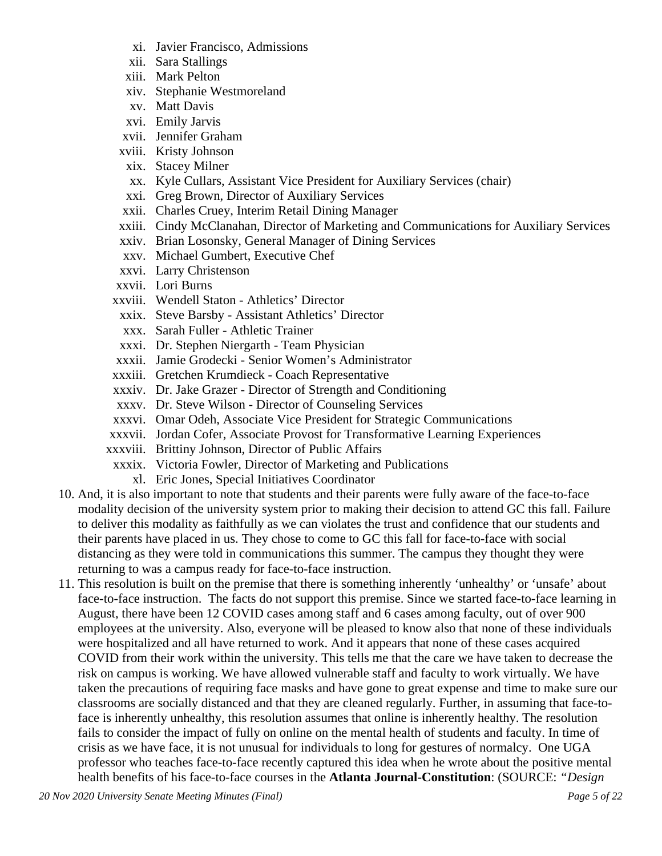- xi. Javier Francisco, Admissions
- xii. Sara Stallings
- xiii. Mark Pelton
- xiv. Stephanie Westmoreland
- xv. Matt Davis
- xvi. Emily Jarvis
- xvii. Jennifer Graham
- xviii. Kristy Johnson
- xix. Stacey Milner
- xx. Kyle Cullars, Assistant Vice President for Auxiliary Services (chair)
- xxi. Greg Brown, Director of Auxiliary Services
- xxii. Charles Cruey, Interim Retail Dining Manager
- xxiii. Cindy McClanahan, Director of Marketing and Communications for Auxiliary Services
- xxiv. Brian Losonsky, General Manager of Dining Services
- xxv. Michael Gumbert, Executive Chef
- xxvi. Larry Christenson
- xxvii. Lori Burns
- xxviii. Wendell Staton Athletics' Director
- xxix. Steve Barsby Assistant Athletics' Director
- xxx. Sarah Fuller Athletic Trainer
- xxxi. Dr. Stephen Niergarth Team Physician
- xxxii. Jamie Grodecki Senior Women's Administrator
- xxxiii. Gretchen Krumdieck Coach Representative
- xxxiv. Dr. Jake Grazer Director of Strength and Conditioning
- xxxv. Dr. Steve Wilson Director of Counseling Services
- xxxvi. Omar Odeh, Associate Vice President for Strategic Communications
- xxxvii. Jordan Cofer, Associate Provost for Transformative Learning Experiences
- xxxviii. Brittiny Johnson, Director of Public Affairs
- xxxix. Victoria Fowler, Director of Marketing and Publications
	- xl. Eric Jones, Special Initiatives Coordinator
- 10. And, it is also important to note that students and their parents were fully aware of the face-to-face modality decision of the university system prior to making their decision to attend GC this fall. Failure to deliver this modality as faithfully as we can violates the trust and confidence that our students and their parents have placed in us. They chose to come to GC this fall for face-to-face with social distancing as they were told in communications this summer. The campus they thought they were returning to was a campus ready for face-to-face instruction.
- 11. This resolution is built on the premise that there is something inherently 'unhealthy' or 'unsafe' about face-to-face instruction. The facts do not support this premise. Since we started face-to-face learning in August, there have been 12 COVID cases among staff and 6 cases among faculty, out of over 900 employees at the university. Also, everyone will be pleased to know also that none of these individuals were hospitalized and all have returned to work. And it appears that none of these cases acquired COVID from their work within the university. This tells me that the care we have taken to decrease the risk on campus is working. We have allowed vulnerable staff and faculty to work virtually. We have taken the precautions of requiring face masks and have gone to great expense and time to make sure our classrooms are socially distanced and that they are cleaned regularly. Further, in assuming that face-toface is inherently unhealthy, this resolution assumes that online is inherently healthy. The resolution fails to consider the impact of fully on online on the mental health of students and faculty. In time of crisis as we have face, it is not unusual for individuals to long for gestures of normalcy. One UGA professor who teaches face-to-face recently captured this idea when he wrote about the positive mental health benefits of his face-to-face courses in the **Atlanta Journal-Constitution**: (SOURCE: *"Design*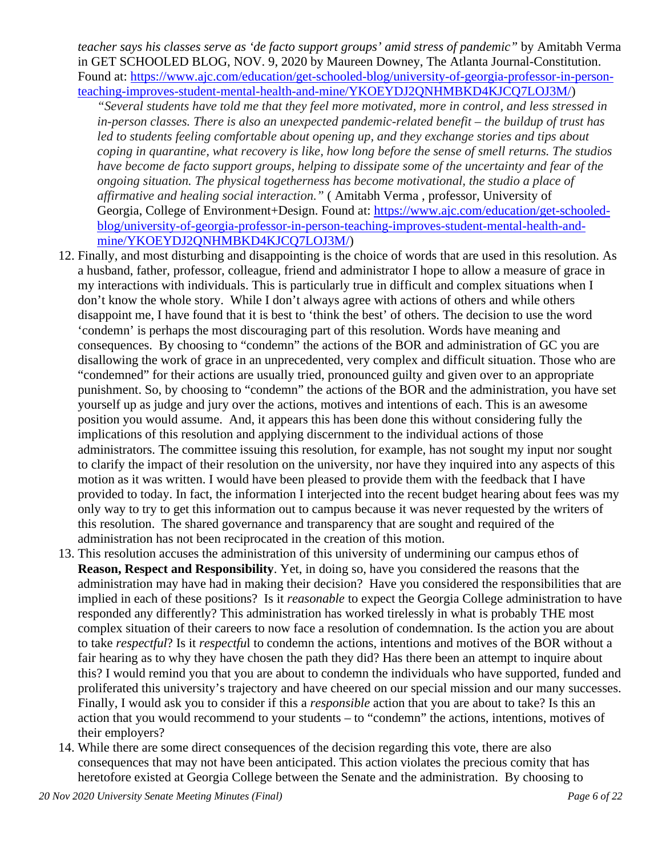*teacher says his classes serve as 'de facto support groups' amid stress of pandemic"* by Amitabh Verma in GET SCHOOLED BLOG, NOV. 9, 2020 by Maureen Downey, The Atlanta Journal-Constitution. Found at: [https://www.ajc.com/education/get-schooled-blog/university-of-georgia-professor-in-person](https://nam11.safelinks.protection.outlook.com/?url=https%3A%2F%2Fwww.ajc.com%2Feducation%2Fget-schooled-blog%2Funiversity-of-georgia-professor-in-person-teaching-improves-student-mental-health-and-mine%2FYKOEYDJ2QNHMBKD4KJCQ7LOJ3M%2F&data=04%7C01%7Csteve.dorman%40gcsu.edu%7C1849f022cb104f1e034a08d88b2fe477%7Cbfd29cfa8e7142e69abc953a6d6f07d6%7C0%7C0%7C637412385098995531%7CUnknown%7CTWFpbGZsb3d8eyJWIjoiMC4wLjAwMDAiLCJQIjoiV2luMzIiLCJBTiI6Ik1haWwiLCJXVCI6Mn0%3D%7C1000&sdata=e7h9qpK8P%2BDm%2FoNtXCkElXuQ8r3eQBtW10lLFgOTyUY%3D&reserved=0)[teaching-improves-student-mental-health-and-mine/YKOEYDJ2QNHMBKD4KJCQ7LOJ3M/\)](https://nam11.safelinks.protection.outlook.com/?url=https%3A%2F%2Fwww.ajc.com%2Feducation%2Fget-schooled-blog%2Funiversity-of-georgia-professor-in-person-teaching-improves-student-mental-health-and-mine%2FYKOEYDJ2QNHMBKD4KJCQ7LOJ3M%2F&data=04%7C01%7Csteve.dorman%40gcsu.edu%7C1849f022cb104f1e034a08d88b2fe477%7Cbfd29cfa8e7142e69abc953a6d6f07d6%7C0%7C0%7C637412385098995531%7CUnknown%7CTWFpbGZsb3d8eyJWIjoiMC4wLjAwMDAiLCJQIjoiV2luMzIiLCJBTiI6Ik1haWwiLCJXVCI6Mn0%3D%7C1000&sdata=e7h9qpK8P%2BDm%2FoNtXCkElXuQ8r3eQBtW10lLFgOTyUY%3D&reserved=0)

*"Several students have told me that they feel more motivated, more in control, and less stressed in in-person classes. There is also an unexpected pandemic-related benefit – the buildup of trust has led to students feeling comfortable about opening up, and they exchange stories and tips about coping in quarantine, what recovery is like, how long before the sense of smell returns. The studios have become de facto support groups, helping to dissipate some of the uncertainty and fear of the ongoing situation. The physical togetherness has become motivational, the studio a place of affirmative and healing social interaction."* ( [Amitabh](https://ced.uga.edu/directory/faculty_profiles/verma_amitabh/) Verma , professor, University of Georgia, College of [Environment+Design.](https://ced.uga.edu/) Found at: [https://www.ajc.com/education/get-schooled](https://nam11.safelinks.protection.outlook.com/?url=https%3A%2F%2Fwww.ajc.com%2Feducation%2Fget-schooled-blog%2Funiversity-of-georgia-professor-in-person-teaching-improves-student-mental-health-and-mine%2FYKOEYDJ2QNHMBKD4KJCQ7LOJ3M%2F&data=04%7C01%7Csteve.dorman%40gcsu.edu%7C1849f022cb104f1e034a08d88b2fe477%7Cbfd29cfa8e7142e69abc953a6d6f07d6%7C0%7C0%7C637412385098995531%7CUnknown%7CTWFpbGZsb3d8eyJWIjoiMC4wLjAwMDAiLCJQIjoiV2luMzIiLCJBTiI6Ik1haWwiLCJXVCI6Mn0%3D%7C1000&sdata=e7h9qpK8P%2BDm%2FoNtXCkElXuQ8r3eQBtW10lLFgOTyUY%3D&reserved=0)[blog/university-of-georgia-professor-in-person-teaching-improves-student-mental-health-and](https://nam11.safelinks.protection.outlook.com/?url=https%3A%2F%2Fwww.ajc.com%2Feducation%2Fget-schooled-blog%2Funiversity-of-georgia-professor-in-person-teaching-improves-student-mental-health-and-mine%2FYKOEYDJ2QNHMBKD4KJCQ7LOJ3M%2F&data=04%7C01%7Csteve.dorman%40gcsu.edu%7C1849f022cb104f1e034a08d88b2fe477%7Cbfd29cfa8e7142e69abc953a6d6f07d6%7C0%7C0%7C637412385098995531%7CUnknown%7CTWFpbGZsb3d8eyJWIjoiMC4wLjAwMDAiLCJQIjoiV2luMzIiLCJBTiI6Ik1haWwiLCJXVCI6Mn0%3D%7C1000&sdata=e7h9qpK8P%2BDm%2FoNtXCkElXuQ8r3eQBtW10lLFgOTyUY%3D&reserved=0)[mine/YKOEYDJ2QNHMBKD4KJCQ7LOJ3M/\)](https://nam11.safelinks.protection.outlook.com/?url=https%3A%2F%2Fwww.ajc.com%2Feducation%2Fget-schooled-blog%2Funiversity-of-georgia-professor-in-person-teaching-improves-student-mental-health-and-mine%2FYKOEYDJ2QNHMBKD4KJCQ7LOJ3M%2F&data=04%7C01%7Csteve.dorman%40gcsu.edu%7C1849f022cb104f1e034a08d88b2fe477%7Cbfd29cfa8e7142e69abc953a6d6f07d6%7C0%7C0%7C637412385098995531%7CUnknown%7CTWFpbGZsb3d8eyJWIjoiMC4wLjAwMDAiLCJQIjoiV2luMzIiLCJBTiI6Ik1haWwiLCJXVCI6Mn0%3D%7C1000&sdata=e7h9qpK8P%2BDm%2FoNtXCkElXuQ8r3eQBtW10lLFgOTyUY%3D&reserved=0)

- 12. Finally, and most disturbing and disappointing is the choice of words that are used in this resolution. As a husband, father, professor, colleague, friend and administrator I hope to allow a measure of grace in my interactions with individuals. This is particularly true in difficult and complex situations when I don't know the whole story. While I don't always agree with actions of others and while others disappoint me, I have found that it is best to 'think the best' of others. The decision to use the word 'condemn' is perhaps the most discouraging part of this resolution. Words have meaning and consequences. By choosing to "condemn" the actions of the BOR and administration of GC you are disallowing the work of grace in an unprecedented, very complex and difficult situation. Those who are "condemned" for their actions are usually tried, pronounced guilty and given over to an appropriate punishment. So, by choosing to "condemn" the actions of the BOR and the administration, you have set yourself up as judge and jury over the actions, motives and intentions of each. This is an awesome position you would assume. And, it appears this has been done this without considering fully the implications of this resolution and applying discernment to the individual actions of those administrators. The committee issuing this resolution, for example, has not sought my input nor sought to clarify the impact of their resolution on the university, nor have they inquired into any aspects of this motion as it was written. I would have been pleased to provide them with the feedback that I have provided to today. In fact, the information I interjected into the recent budget hearing about fees was my only way to try to get this information out to campus because it was never requested by the writers of this resolution. The shared governance and transparency that are sought and required of the administration has not been reciprocated in the creation of this motion.
- 13. This resolution accuses the administration of this university of undermining our campus ethos of **Reason, Respect and Responsibility**. Yet, in doing so, have you considered the reasons that the administration may have had in making their decision? Have you considered the responsibilities that are implied in each of these positions? Is it *reasonable* to expect the Georgia College administration to have responded any differently? This administration has worked tirelessly in what is probably THE most complex situation of their careers to now face a resolution of condemnation. Is the action you are about to take *respectful*? Is it *respectfu*l to condemn the actions, intentions and motives of the BOR without a fair hearing as to why they have chosen the path they did? Has there been an attempt to inquire about this? I would remind you that you are about to condemn the individuals who have supported, funded and proliferated this university's trajectory and have cheered on our special mission and our many successes. Finally, I would ask you to consider if this a *responsible* action that you are about to take? Is this an action that you would recommend to your students – to "condemn" the actions, intentions, motives of their employers?
- 14. While there are some direct consequences of the decision regarding this vote, there are also consequences that may not have been anticipated. This action violates the precious comity that has heretofore existed at Georgia College between the Senate and the administration. By choosing to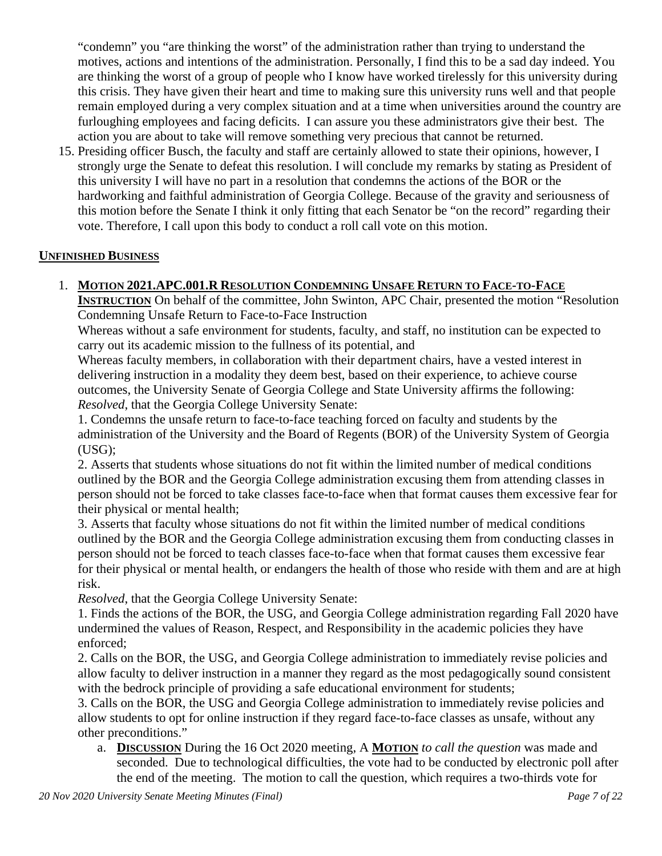"condemn" you "are thinking the worst" of the administration rather than trying to understand the motives, actions and intentions of the administration. Personally, I find this to be a sad day indeed. You are thinking the worst of a group of people who I know have worked tirelessly for this university during this crisis. They have given their heart and time to making sure this university runs well and that people remain employed during a very complex situation and at a time when universities around the country are furloughing employees and facing deficits. I can assure you these administrators give their best. The action you are about to take will remove something very precious that cannot be returned.

15. Presiding officer Busch, the faculty and staff are certainly allowed to state their opinions, however, I strongly urge the Senate to defeat this resolution. I will conclude my remarks by stating as President of this university I will have no part in a resolution that condemns the actions of the BOR or the hardworking and faithful administration of Georgia College. Because of the gravity and seriousness of this motion before the Senate I think it only fitting that each Senator be "on the record" regarding their vote. Therefore, I call upon this body to conduct a roll call vote on this motion.

#### **UNFINISHED BUSINESS**

# 1. **MOTION 2021.APC.001.R RESOLUTION CONDEMNING UNSAFE RETURN TO FACE-TO-FACE**

**INSTRUCTION** On behalf of the committee, John Swinton, APC Chair, presented the motion "Resolution Condemning Unsafe Return to Face-to-Face Instruction

Whereas without a safe environment for students, faculty, and staff, no institution can be expected to carry out its academic mission to the fullness of its potential, and

Whereas faculty members, in collaboration with their department chairs, have a vested interest in delivering instruction in a modality they deem best, based on their experience, to achieve course outcomes, the University Senate of Georgia College and State University affirms the following: *Resolved*, that the Georgia College University Senate:

1. Condemns the unsafe return to face-to-face teaching forced on faculty and students by the administration of the University and the Board of Regents (BOR) of the University System of Georgia (USG);

2. Asserts that students whose situations do not fit within the limited number of medical conditions outlined by the BOR and the Georgia College administration excusing them from attending classes in person should not be forced to take classes face-to-face when that format causes them excessive fear for their physical or mental health;

3. Asserts that faculty whose situations do not fit within the limited number of medical conditions outlined by the BOR and the Georgia College administration excusing them from conducting classes in person should not be forced to teach classes face-to-face when that format causes them excessive fear for their physical or mental health, or endangers the health of those who reside with them and are at high risk.

*Resolved*, that the Georgia College University Senate:

1. Finds the actions of the BOR, the USG, and Georgia College administration regarding Fall 2020 have undermined the values of Reason, Respect, and Responsibility in the academic policies they have enforced;

2. Calls on the BOR, the USG, and Georgia College administration to immediately revise policies and allow faculty to deliver instruction in a manner they regard as the most pedagogically sound consistent with the bedrock principle of providing a safe educational environment for students;

3. Calls on the BOR, the USG and Georgia College administration to immediately revise policies and allow students to opt for online instruction if they regard face-to-face classes as unsafe, without any other preconditions."

a. **DISCUSSION** During the 16 Oct 2020 meeting, A **MOTION** *to call the question* was made and seconded. Due to technological difficulties, the vote had to be conducted by electronic poll after the end of the meeting. The motion to call the question, which requires a two-thirds vote for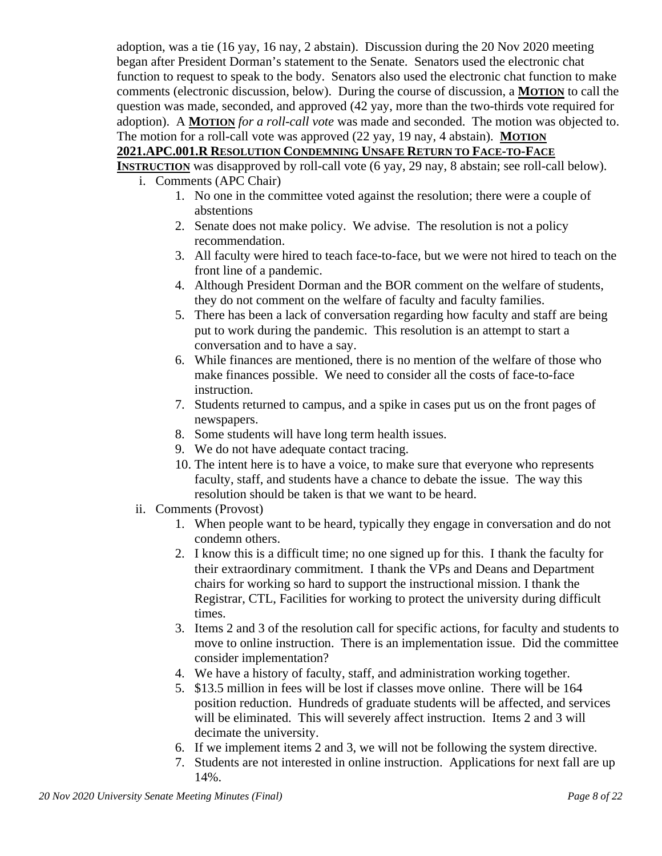adoption, was a tie (16 yay, 16 nay, 2 abstain). Discussion during the 20 Nov 2020 meeting began after President Dorman's statement to the Senate. Senators used the electronic chat function to request to speak to the body. Senators also used the electronic chat function to make comments (electronic discussion, below). During the course of discussion, a **MOTION** to call the question was made, seconded, and approved (42 yay, more than the two-thirds vote required for adoption). A **MOTION** *for a roll-call vote* was made and seconded. The motion was objected to. The motion for a roll-call vote was approved (22 yay, 19 nay, 4 abstain). **MOTION** 

## **2021.APC.001.R RESOLUTION CONDEMNING UNSAFE RETURN TO FACE-TO-FACE**

**INSTRUCTION** was disapproved by roll-call vote (6 yay, 29 nay, 8 abstain; see roll-call below).

- i. Comments (APC Chair)
	- 1. No one in the committee voted against the resolution; there were a couple of abstentions
	- 2. Senate does not make policy. We advise. The resolution is not a policy recommendation.
	- 3. All faculty were hired to teach face-to-face, but we were not hired to teach on the front line of a pandemic.
	- 4. Although President Dorman and the BOR comment on the welfare of students, they do not comment on the welfare of faculty and faculty families.
	- 5. There has been a lack of conversation regarding how faculty and staff are being put to work during the pandemic. This resolution is an attempt to start a conversation and to have a say.
	- 6. While finances are mentioned, there is no mention of the welfare of those who make finances possible. We need to consider all the costs of face-to-face instruction.
	- 7. Students returned to campus, and a spike in cases put us on the front pages of newspapers.
	- 8. Some students will have long term health issues.
	- 9. We do not have adequate contact tracing.
	- 10. The intent here is to have a voice, to make sure that everyone who represents faculty, staff, and students have a chance to debate the issue. The way this resolution should be taken is that we want to be heard.
- ii. Comments (Provost)
	- 1. When people want to be heard, typically they engage in conversation and do not condemn others.
	- 2. I know this is a difficult time; no one signed up for this. I thank the faculty for their extraordinary commitment. I thank the VPs and Deans and Department chairs for working so hard to support the instructional mission. I thank the Registrar, CTL, Facilities for working to protect the university during difficult times.
	- 3. Items 2 and 3 of the resolution call for specific actions, for faculty and students to move to online instruction. There is an implementation issue. Did the committee consider implementation?
	- 4. We have a history of faculty, staff, and administration working together.
	- 5. \$13.5 million in fees will be lost if classes move online. There will be 164 position reduction. Hundreds of graduate students will be affected, and services will be eliminated. This will severely affect instruction. Items 2 and 3 will decimate the university.
	- 6. If we implement items 2 and 3, we will not be following the system directive.
	- 7. Students are not interested in online instruction. Applications for next fall are up 14%.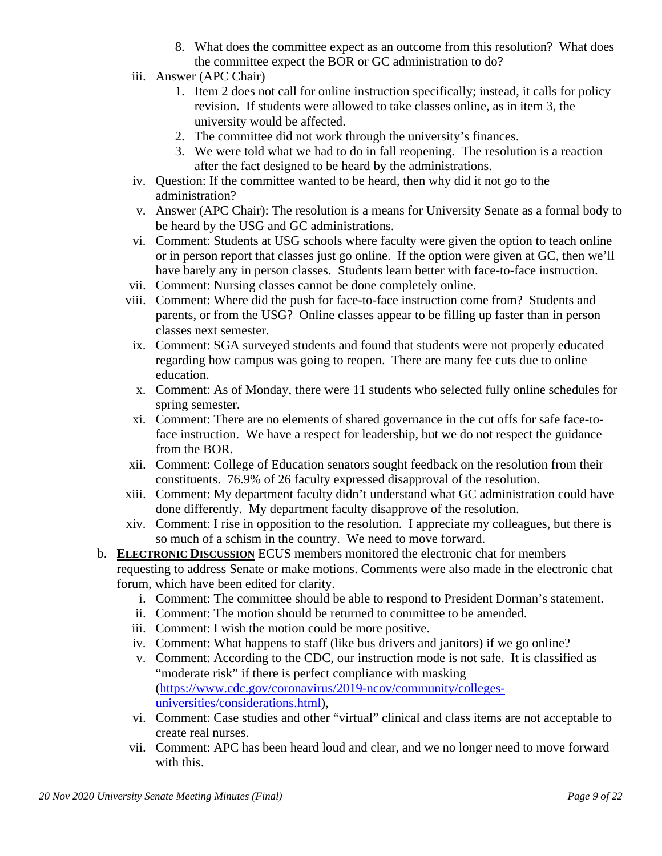- 8. What does the committee expect as an outcome from this resolution? What does the committee expect the BOR or GC administration to do?
- iii. Answer (APC Chair)
	- 1. Item 2 does not call for online instruction specifically; instead, it calls for policy revision. If students were allowed to take classes online, as in item 3, the university would be affected.
	- 2. The committee did not work through the university's finances.
	- 3. We were told what we had to do in fall reopening. The resolution is a reaction after the fact designed to be heard by the administrations.
- iv. Question: If the committee wanted to be heard, then why did it not go to the administration?
- v. Answer (APC Chair): The resolution is a means for University Senate as a formal body to be heard by the USG and GC administrations.
- vi. Comment: Students at USG schools where faculty were given the option to teach online or in person report that classes just go online. If the option were given at GC, then we'll have barely any in person classes. Students learn better with face-to-face instruction.
- vii. Comment: Nursing classes cannot be done completely online.
- viii. Comment: Where did the push for face-to-face instruction come from? Students and parents, or from the USG? Online classes appear to be filling up faster than in person classes next semester.
- ix. Comment: SGA surveyed students and found that students were not properly educated regarding how campus was going to reopen. There are many fee cuts due to online education.
- x. Comment: As of Monday, there were 11 students who selected fully online schedules for spring semester.
- xi. Comment: There are no elements of shared governance in the cut offs for safe face-toface instruction. We have a respect for leadership, but we do not respect the guidance from the BOR.
- xii. Comment: College of Education senators sought feedback on the resolution from their constituents. 76.9% of 26 faculty expressed disapproval of the resolution.
- xiii. Comment: My department faculty didn't understand what GC administration could have done differently. My department faculty disapprove of the resolution.
- xiv. Comment: I rise in opposition to the resolution. I appreciate my colleagues, but there is so much of a schism in the country. We need to move forward.
- b. **ELECTRONIC DISCUSSION** ECUS members monitored the electronic chat for members requesting to address Senate or make motions. Comments were also made in the electronic chat forum, which have been edited for clarity.
	- i. Comment: The committee should be able to respond to President Dorman's statement.
	- ii. Comment: The motion should be returned to committee to be amended.
	- iii. Comment: I wish the motion could be more positive.
	- iv. Comment: What happens to staff (like bus drivers and janitors) if we go online?
	- v. Comment: According to the CDC, our instruction mode is not safe. It is classified as "moderate risk" if there is perfect compliance with masking [\(https://www.cdc.gov/coronavirus/2019-ncov/community/colleges](https://www.cdc.gov/coronavirus/2019-ncov/community/colleges-universities/considerations.html)[universities/considerations.html\)](https://www.cdc.gov/coronavirus/2019-ncov/community/colleges-universities/considerations.html),
	- vi. Comment: Case studies and other "virtual" clinical and class items are not acceptable to create real nurses.
	- vii. Comment: APC has been heard loud and clear, and we no longer need to move forward with this.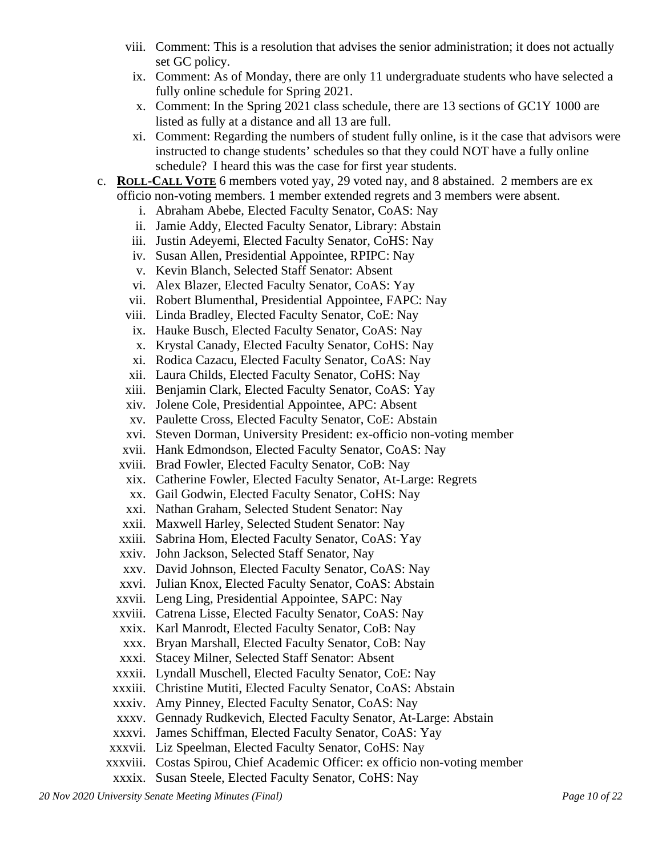- viii. Comment: This is a resolution that advises the senior administration; it does not actually set GC policy.
	- ix. Comment: As of Monday, there are only 11 undergraduate students who have selected a fully online schedule for Spring 2021.
	- x. Comment: In the Spring 2021 class schedule, there are 13 sections of GC1Y 1000 are listed as fully at a distance and all 13 are full.
	- xi. Comment: Regarding the numbers of student fully online, is it the case that advisors were instructed to change students' schedules so that they could NOT have a fully online schedule? I heard this was the case for first year students.
- c. **ROLL-CALL VOTE** 6 members voted yay, 29 voted nay, and 8 abstained. 2 members are ex officio non-voting members. 1 member extended regrets and 3 members were absent.
	- i. Abraham Abebe, Elected Faculty Senator, CoAS: Nay
	- ii. Jamie Addy, Elected Faculty Senator, Library: Abstain
	- iii. Justin Adeyemi, Elected Faculty Senator, CoHS: Nay
	- iv. Susan Allen, Presidential Appointee, RPIPC: Nay
	- v. Kevin Blanch, Selected Staff Senator: Absent
	- vi. Alex Blazer, Elected Faculty Senator, CoAS: Yay
	- vii. Robert Blumenthal, Presidential Appointee, FAPC: Nay
	- viii. Linda Bradley, Elected Faculty Senator, CoE: Nay
	- ix. Hauke Busch, Elected Faculty Senator, CoAS: Nay
	- x. Krystal Canady, Elected Faculty Senator, CoHS: Nay
	- xi. Rodica Cazacu, Elected Faculty Senator, CoAS: Nay
	- xii. Laura Childs, Elected Faculty Senator, CoHS: Nay
	- xiii. Benjamin Clark, Elected Faculty Senator, CoAS: Yay
	- xiv. Jolene Cole, Presidential Appointee, APC: Absent
	- xv. Paulette Cross, Elected Faculty Senator, CoE: Abstain
	- xvi. Steven Dorman, University President: ex-officio non-voting member
	- xvii. Hank Edmondson, Elected Faculty Senator, CoAS: Nay
	- xviii. Brad Fowler, Elected Faculty Senator, CoB: Nay
	- xix. Catherine Fowler, Elected Faculty Senator, At-Large: Regrets
	- xx. Gail Godwin, Elected Faculty Senator, CoHS: Nay
	- xxi. Nathan Graham, Selected Student Senator: Nay
	- xxii. Maxwell Harley, Selected Student Senator: Nay
	- xxiii. Sabrina Hom, Elected Faculty Senator, CoAS: Yay
	- xxiv. John Jackson, Selected Staff Senator, Nay
	- xxv. David Johnson, Elected Faculty Senator, CoAS: Nay
	- xxvi. Julian Knox, Elected Faculty Senator, CoAS: Abstain
	- xxvii. Leng Ling, Presidential Appointee, SAPC: Nay
	- xxviii. Catrena Lisse, Elected Faculty Senator, CoAS: Nay
	- xxix. Karl Manrodt, Elected Faculty Senator, CoB: Nay
	- xxx. Bryan Marshall, Elected Faculty Senator, CoB: Nay
	- xxxi. Stacey Milner, Selected Staff Senator: Absent
	- xxxii. Lyndall Muschell, Elected Faculty Senator, CoE: Nay
	- xxxiii. Christine Mutiti, Elected Faculty Senator, CoAS: Abstain
	- xxxiv. Amy Pinney, Elected Faculty Senator, CoAS: Nay
	- xxxv. Gennady Rudkevich, Elected Faculty Senator, At-Large: Abstain
	- xxxvi. James Schiffman, Elected Faculty Senator, CoAS: Yay
	- xxxvii. Liz Speelman, Elected Faculty Senator, CoHS: Nay
	- xxxviii. Costas Spirou, Chief Academic Officer: ex officio non-voting member
	- xxxix. Susan Steele, Elected Faculty Senator, CoHS: Nay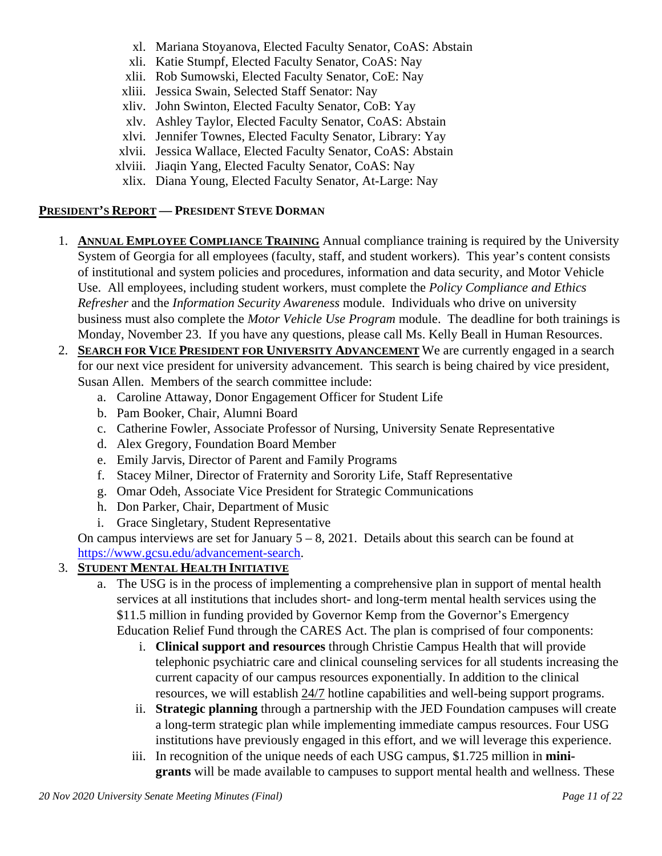- xl. Mariana Stoyanova, Elected Faculty Senator, CoAS: Abstain
- xli. Katie Stumpf, Elected Faculty Senator, CoAS: Nay
- xlii. Rob Sumowski, Elected Faculty Senator, CoE: Nay
- xliii. Jessica Swain, Selected Staff Senator: Nay
- xliv. John Swinton, Elected Faculty Senator, CoB: Yay
- xlv. Ashley Taylor, Elected Faculty Senator, CoAS: Abstain
- xlvi. Jennifer Townes, Elected Faculty Senator, Library: Yay
- xlvii. Jessica Wallace, Elected Faculty Senator, CoAS: Abstain
- xlviii. Jiaqin Yang, Elected Faculty Senator, CoAS: Nay
	- xlix. Diana Young, Elected Faculty Senator, At-Large: Nay

# **PRESIDENT'S REPORT — PRESIDENT STEVE DORMAN**

- 1. **ANNUAL EMPLOYEE COMPLIANCE TRAINING** Annual compliance training is required by the University System of Georgia for all employees (faculty, staff, and student workers). This year's content consists of institutional and system policies and procedures, information and data security, and Motor Vehicle Use. All employees, including student workers, must complete the *Policy Compliance and Ethics Refresher* and the *Information Security Awareness* module. Individuals who drive on university business must also complete the *Motor Vehicle Use Program* module. The deadline for both trainings is Monday, November 23. If you have any questions, please call Ms. Kelly Beall in Human Resources.
- 2. **SEARCH FOR VICE PRESIDENT FOR UNIVERSITY ADVANCEMENT** We are currently engaged in a search for our next vice president for university advancement. This search is being chaired by vice president, Susan Allen. Members of the search committee include:
	- a. Caroline Attaway, Donor Engagement Officer for Student Life
	- b. Pam Booker, Chair, Alumni Board
	- c. Catherine Fowler, Associate Professor of Nursing, University Senate Representative
	- d. Alex Gregory, Foundation Board Member
	- e. Emily Jarvis, Director of Parent and Family Programs
	- f. Stacey Milner, Director of Fraternity and Sorority Life, Staff Representative
	- g. Omar Odeh, Associate Vice President for Strategic Communications
	- h. Don Parker, Chair, Department of Music
	- i. Grace Singletary, Student Representative

On campus interviews are set for January  $5 - 8$ , 2021. Details about this search can be found at [https://www.gcsu.edu/advancement-search.](https://www.gcsu.edu/advancement-search)

## 3. **STUDENT MENTAL HEALTH INITIATIVE**

- a. The USG is in the process of implementing a comprehensive plan in support of mental health services at all institutions that includes short- and long-term mental health services using the \$11.5 million in funding provided by Governor Kemp from the Governor's Emergency Education Relief Fund through the CARES Act. The plan is comprised of four components:
	- i. **Clinical support and resources** through Christie Campus Health that will provide telephonic psychiatric care and clinical counseling services for all students increasing the current capacity of our campus resources exponentially. In addition to the clinical resources, we will establish 24/7 hotline capabilities and well-being support programs.
	- ii. **Strategic planning** through a partnership with the JED Foundation campuses will create a long-term strategic plan while implementing immediate campus resources. Four USG institutions have previously engaged in this effort, and we will leverage this experience.
	- iii. In recognition of the unique needs of each USG campus, \$1.725 million in **minigrants** will be made available to campuses to support mental health and wellness. These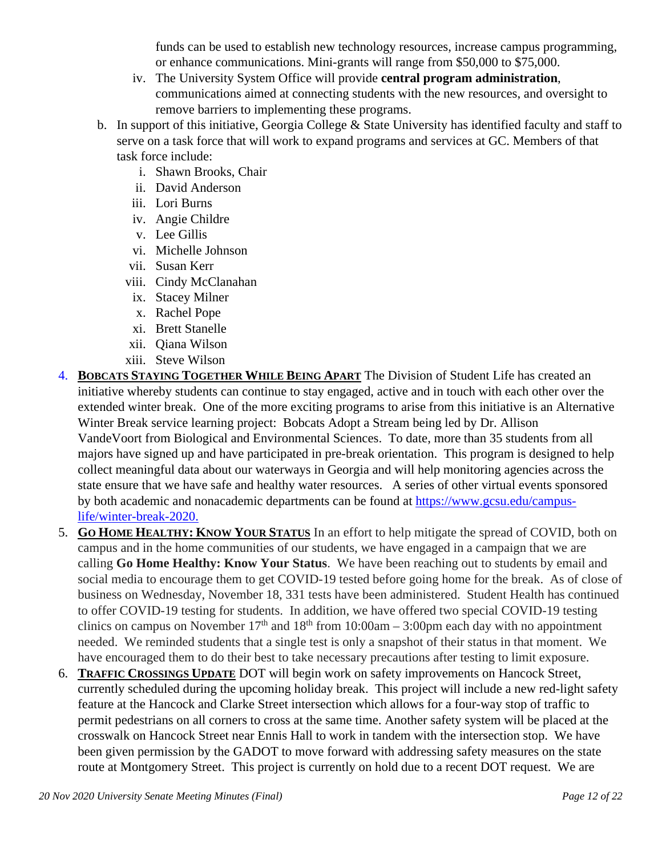funds can be used to establish new technology resources, increase campus programming, or enhance communications. Mini-grants will range from \$50,000 to \$75,000.

- iv. The University System Office will provide **central program administration**, communications aimed at connecting students with the new resources, and oversight to remove barriers to implementing these programs.
- b. In support of this initiative, Georgia College & State University has identified faculty and staff to serve on a task force that will work to expand programs and services at GC. Members of that task force include:
	- i. Shawn Brooks, Chair
	- ii. David Anderson
	- iii. Lori Burns
	- iv. Angie Childre
	- v. Lee Gillis
	- vi. Michelle Johnson
	- vii. Susan Kerr
	- viii. Cindy McClanahan
	- ix. Stacey Milner
	- x. Rachel Pope
	- xi. Brett Stanelle
	- xii. Qiana Wilson
	- xiii. Steve Wilson
- 4. **BOBCATS STAYING TOGETHER WHILE BEING APART** The Division of Student Life has created an initiative whereby students can continue to stay engaged, active and in touch with each other over the extended winter break. One of the more exciting programs to arise from this initiative is an Alternative Winter Break service learning project: Bobcats Adopt a Stream being led by Dr. Allison VandeVoort from Biological and Environmental Sciences. To date, more than 35 students from all majors have signed up and have participated in pre-break orientation. This program is designed to help collect meaningful data about our waterways in Georgia and will help monitoring agencies across the state ensure that we have safe and healthy water resources. A series of other virtual events sponsored by both academic and nonacademic departments can be found at [https://www.gcsu.edu/campus](https://nam11.safelinks.protection.outlook.com/?url=https%3A%2F%2Fwww.gcsu.edu%2Fcampus-life%2Fwinter-break-2020&data=04%7C01%7Cmonica.starley%40gcsu.edu%7Cf90b8309a1c843686da608d88a5d0c51%7Cbfd29cfa8e7142e69abc953a6d6f07d6%7C0%7C0%7C637411479521909736%7CUnknown%7CTWFpbGZsb3d8eyJWIjoiMC4wLjAwMDAiLCJQIjoiV2luMzIiLCJBTiI6Ik1haWwiLCJXVCI6Mn0%3D%7C1000&sdata=NgCtmYVGaApJJGdHo16j89FVDFHWEVyf8V75q7K8%2FAc%3D&reserved=0)[life/winter-break-2020.](https://nam11.safelinks.protection.outlook.com/?url=https%3A%2F%2Fwww.gcsu.edu%2Fcampus-life%2Fwinter-break-2020&data=04%7C01%7Cmonica.starley%40gcsu.edu%7Cf90b8309a1c843686da608d88a5d0c51%7Cbfd29cfa8e7142e69abc953a6d6f07d6%7C0%7C0%7C637411479521909736%7CUnknown%7CTWFpbGZsb3d8eyJWIjoiMC4wLjAwMDAiLCJQIjoiV2luMzIiLCJBTiI6Ik1haWwiLCJXVCI6Mn0%3D%7C1000&sdata=NgCtmYVGaApJJGdHo16j89FVDFHWEVyf8V75q7K8%2FAc%3D&reserved=0)
- 5. **GO HOME HEALTHY: KNOW YOUR STATUS** In an effort to help mitigate the spread of COVID, both on campus and in the home communities of our students, we have engaged in a campaign that we are calling **Go Home Healthy: Know Your Status**. We have been reaching out to students by email and social media to encourage them to get COVID-19 tested before going home for the break. As of close of business on Wednesday, November 18, 331 tests have been administered. Student Health has continued to offer COVID-19 testing for students. In addition, we have offered two special COVID-19 testing clinics on campus on November  $17<sup>th</sup>$  and  $18<sup>th</sup>$  from  $10:00$ am – 3:00pm each day with no appointment needed. We reminded students that a single test is only a snapshot of their status in that moment. We have encouraged them to do their best to take necessary precautions after testing to limit exposure.
- 6. **TRAFFIC CROSSINGS UPDATE** DOT will begin work on safety improvements on Hancock Street, currently scheduled during the upcoming holiday break. This project will include a new red-light safety feature at the Hancock and Clarke Street intersection which allows for a four-way stop of traffic to permit pedestrians on all corners to cross at the same time. Another safety system will be placed at the crosswalk on Hancock Street near Ennis Hall to work in tandem with the intersection stop. We have been given permission by the GADOT to move forward with addressing safety measures on the state route at Montgomery Street. This project is currently on hold due to a recent DOT request. We are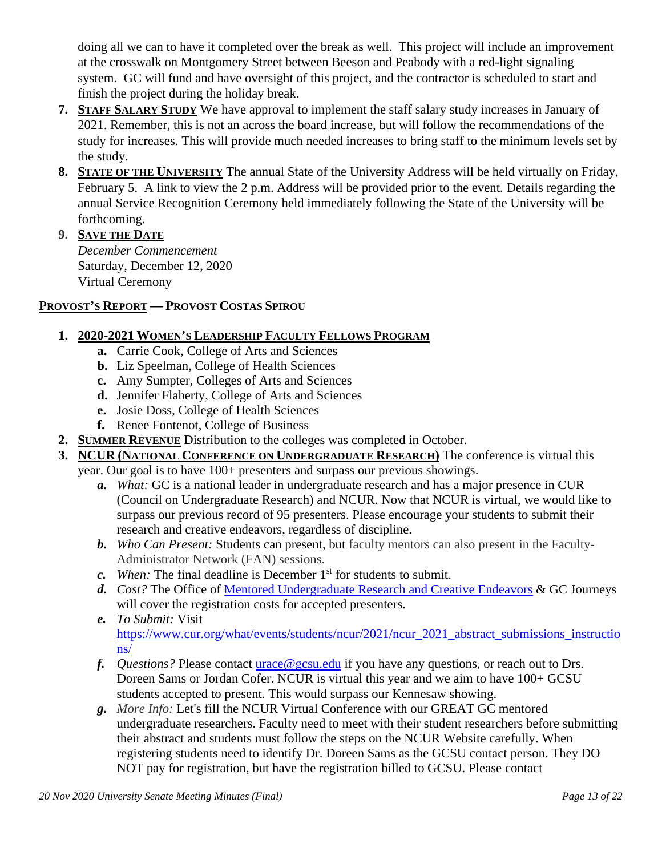doing all we can to have it completed over the break as well. This project will include an improvement at the crosswalk on Montgomery Street between Beeson and Peabody with a red-light signaling system. GC will fund and have oversight of this project, and the contractor is scheduled to start and finish the project during the holiday break.

- **7. STAFF SALARY STUDY** We have approval to implement the staff salary study increases in January of 2021. Remember, this is not an across the board increase, but will follow the recommendations of the study for increases. This will provide much needed increases to bring staff to the minimum levels set by the study.
- **8. STATE OF THE UNIVERSITY** The annual State of the University Address will be held virtually on Friday, February 5. A link to view the 2 p.m. Address will be provided prior to the event. Details regarding the annual Service Recognition Ceremony held immediately following the State of the University will be forthcoming.

# **9. SAVE THE DATE**

*December Commencement*  Saturday, December 12, 2020 Virtual Ceremony

# **PROVOST'S REPORT — PROVOST COSTAS SPIROU**

# **1. 2020-2021 WOMEN'S LEADERSHIP FACULTY FELLOWS PROGRAM**

- **a.** Carrie Cook, College of Arts and Sciences
- **b.** Liz Speelman, College of Health Sciences
- **c.** Amy Sumpter, Colleges of Arts and Sciences
- **d.** Jennifer Flaherty, College of Arts and Sciences
- **e.** Josie Doss, College of Health Sciences
- **f.** Renee Fontenot, College of Business
- **2. SUMMER REVENUE** Distribution to the colleges was completed in October.
- **3. NCUR (NATIONAL CONFERENCE ON UNDERGRADUATE RESEARCH)** The conference is virtual this year. Our goal is to have 100+ presenters and surpass our previous showings.
	- *a. What:* GC is a national leader in undergraduate research and has a major presence in CUR (Council on Undergraduate Research) and NCUR. Now that NCUR is virtual, we would like to surpass our previous record of 95 presenters. Please encourage your students to submit their research and creative endeavors, regardless of discipline.
	- *b. Who Can Present:* Students can present, but faculty mentors can also present in the Faculty-Administrator Network (FAN) sessions.
	- *c. When:* The final deadline is December 1<sup>st</sup> for students to submit.
	- *d. Cost?* The Office of [Mentored Undergraduate Research and Creative Endeavors](https://nam11.safelinks.protection.outlook.com/?url=https%3A%2F%2Fwww.gcsu.edu%2Fmurace&data=04%7C01%7Ccostas.spirou%40gcsu.edu%7C1311ca7e93f4445ac7de08d87545744e%7Cbfd29cfa8e7142e69abc953a6d6f07d6%7C0%7C0%7C637388288465020250%7CUnknown%7CTWFpbGZsb3d8eyJWIjoiMC4wLjAwMDAiLCJQIjoiV2luMzIiLCJBTiI6Ik1haWwiLCJXVCI6Mn0%3D%7C1000&sdata=XSyn0MT5d0ojQVT30x8oCKQ20yGHyplv1jV9Bh21JH8%3D&reserved=0) & GC Journeys will cover the registration costs for accepted presenters.
	- *e. To Submit:* Visit [https://www.cur.org/what/events/students/ncur/2021/ncur\\_2021\\_abstract\\_submissions\\_instructio](https://www.cur.org/what/events/students/ncur/2021/ncur_2021_abstract_submissions_instructions/) [ns/](https://www.cur.org/what/events/students/ncur/2021/ncur_2021_abstract_submissions_instructions/)
	- *f. Questions?* Please contact [urace@gcsu.edu](mailto:urace@gcsu.edu) if you have any questions, or reach out to Drs. Doreen Sams or Jordan Cofer. NCUR is virtual this year and we aim to have 100+ GCSU students accepted to present. This would surpass our Kennesaw showing.
	- *g. More Info:* Let's fill the NCUR Virtual Conference with our GREAT GC mentored undergraduate researchers. Faculty need to meet with their student researchers before submitting their abstract and students must follow the steps on the NCUR Website carefully. When registering students need to identify Dr. Doreen Sams as the GCSU contact person. They DO NOT pay for registration, but have the registration billed to GCSU. Please contact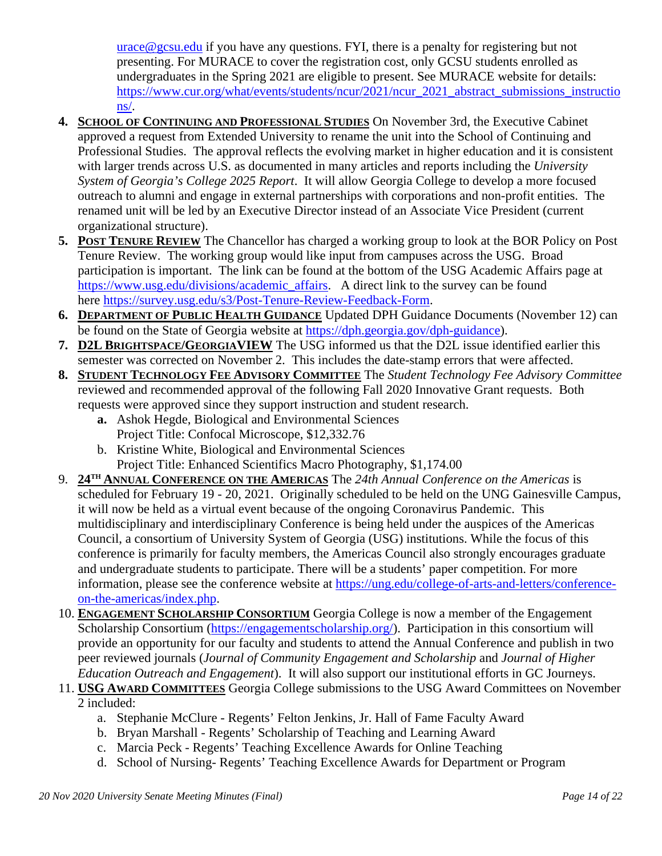$urace@gesu.edu$  if you have any questions. FYI, there is a penalty for registering but not presenting. For MURACE to cover the registration cost, only GCSU students enrolled as undergraduates in the Spring 2021 are eligible to present. See MURACE website for details: [https://www.cur.org/what/events/students/ncur/2021/ncur\\_2021\\_abstract\\_submissions\\_instructio](https://www.cur.org/what/events/students/ncur/2021/ncur_2021_abstract_submissions_instructions/) [ns/.](https://www.cur.org/what/events/students/ncur/2021/ncur_2021_abstract_submissions_instructions/)

- **4. SCHOOL OF CONTINUING AND PROFESSIONAL STUDIES** On November 3rd, the Executive Cabinet approved a request from Extended University to rename the unit into the School of Continuing and Professional Studies. The approval reflects the evolving market in higher education and it is consistent with larger trends across U.S. as documented in many articles and reports including the *University System of Georgia's College 2025 Report*. It will allow Georgia College to develop a more focused outreach to alumni and engage in external partnerships with corporations and non-profit entities. The renamed unit will be led by an Executive Director instead of an Associate Vice President (current organizational structure).
- **5. POST TENURE REVIEW** The Chancellor has charged a working group to look at the BOR Policy on Post Tenure Review. The working group would like input from campuses across the USG. Broad participation is important. The link can be found at the bottom of the USG Academic Affairs page at [https://www.usg.edu/divisions/academic\\_affairs.](https://www.usg.edu/divisions/academic_affairs) A direct link to the survey can be found here [https://survey.usg.edu/s3/Post-Tenure-Review-Feedback-Form.](https://survey.usg.edu/s3/Post-Tenure-Review-Feedback-Form)
- **6. DEPARTMENT OF PUBLIC HEALTH GUIDANCE** Updated DPH Guidance Documents (November 12) can be found on the State of Georgia website at [https://dph.georgia.gov/dph-guidance\)](https://nam11.safelinks.protection.outlook.com/?url=https%3A%2F%2Fdph.georgia.gov%2Fdph-guidance&data=04%7C01%7Ccostas.spirou%40gcsu.edu%7C70e1111121ff40b34de008d887774488%7Cbfd29cfa8e7142e69abc953a6d6f07d6%7C0%7C0%7C637408293658611251%7CUnknown%7CTWFpbGZsb3d8eyJWIjoiMC4wLjAwMDAiLCJQIjoiV2luMzIiLCJBTiI6Ik1haWwiLCJXVCI6Mn0%3D%7C1000&sdata=IJXt4HKEyxYuErAWk%2BN0LWGNUCtVOLTzg%2BFDiHs7bzY%3D&reserved=0).
- **7. D2L BRIGHTSPACE/GEORGIAVIEW** The USG informed us that the D2L issue identified earlier this semester was corrected on November 2. This includes the date-stamp errors that were affected.
- **8. STUDENT TECHNOLOGY FEE ADVISORY COMMITTEE** The *Student Technology Fee Advisory Committee* reviewed and recommended approval of the following Fall 2020 Innovative Grant requests. Both requests were approved since they support instruction and student research.
	- **a.** Ashok Hegde, Biological and Environmental Sciences Project Title: Confocal Microscope, \$12,332.76
	- b. Kristine White, Biological and Environmental Sciences Project Title: Enhanced Scientifics Macro Photography, \$1,174.00
- 9. **24TH ANNUAL CONFERENCE ON THE AMERICAS** The *24th Annual Conference on the Americas* is scheduled for February 19 - 20, 2021. Originally scheduled to be held on the UNG Gainesville Campus, it will now be held as a virtual event because of the ongoing Coronavirus Pandemic. This multidisciplinary and interdisciplinary Conference is being held under the auspices of the Americas Council, a consortium of University System of Georgia (USG) institutions. While the focus of this conference is primarily for faculty members, the Americas Council also strongly encourages graduate and undergraduate students to participate. There will be a students' paper competition. For more information, please see the conference website at [https://ung.edu/college-of-arts-and-letters/conference](https://ung.edu/college-of-arts-and-letters/conference-on-the-americas/index.php)[on-the-americas/index.php.](https://ung.edu/college-of-arts-and-letters/conference-on-the-americas/index.php)
- 10. **ENGAGEMENT SCHOLARSHIP CONSORTIUM** Georgia College is now a member of the Engagement Scholarship Consortium [\(https://engagementscholarship.org/\)](https://engagementscholarship.org/). Participation in this consortium will provide an opportunity for our faculty and students to attend the Annual Conference and publish in two peer reviewed journals (*Journal of Community Engagement and Scholarship* and *Journal of Higher Education Outreach and Engagement*). It will also support our institutional efforts in GC Journeys.
- 11. **USG AWARD COMMITTEES** Georgia College submissions to the USG Award Committees on November 2 included:
	- a. Stephanie McClure Regents' Felton Jenkins, Jr. Hall of Fame Faculty Award
	- b. Bryan Marshall Regents' Scholarship of Teaching and Learning Award
	- c. Marcia Peck Regents' Teaching Excellence Awards for Online Teaching
	- d. School of Nursing- Regents' Teaching Excellence Awards for Department or Program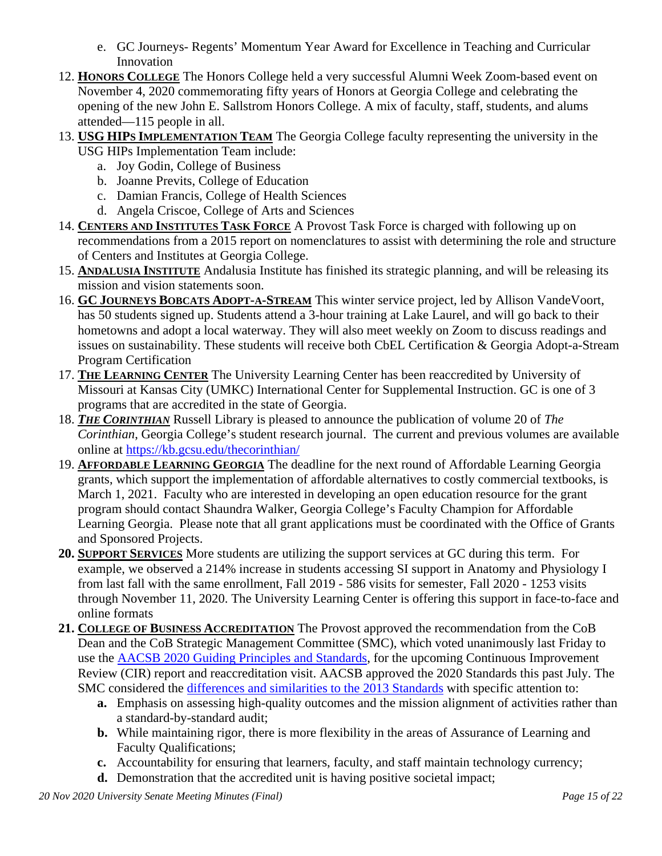- e. GC Journeys- Regents' Momentum Year Award for Excellence in Teaching and Curricular Innovation
- 12. **HONORS COLLEGE** The Honors College held a very successful Alumni Week Zoom-based event on November 4, 2020 commemorating fifty years of Honors at Georgia College and celebrating the opening of the new John E. Sallstrom Honors College. A mix of faculty, staff, students, and alums attended—115 people in all.
- 13. **USG HIPS IMPLEMENTATION TEAM** The Georgia College faculty representing the university in the USG HIPs Implementation Team include:
	- a. Joy Godin, College of Business
	- b. Joanne Previts, College of Education
	- c. Damian Francis, College of Health Sciences
	- d. Angela Criscoe, College of Arts and Sciences
- 14. **CENTERS AND INSTITUTES TASK FORCE** A Provost Task Force is charged with following up on recommendations from a 2015 report on nomenclatures to assist with determining the role and structure of Centers and Institutes at Georgia College.
- 15. **ANDALUSIA INSTITUTE** Andalusia Institute has finished its strategic planning, and will be releasing its mission and vision statements soon.
- 16. **GC JOURNEYS BOBCATS ADOPT-A-STREAM** This winter service project, led by Allison VandeVoort, has 50 students signed up. Students attend a 3-hour training at Lake Laurel, and will go back to their hometowns and adopt a local waterway. They will also meet weekly on Zoom to discuss readings and issues on sustainability. These students will receive both CbEL Certification & Georgia Adopt-a-Stream Program Certification
- 17. **THE LEARNING CENTER** The University Learning Center has been reaccredited by University of Missouri at Kansas City (UMKC) International Center for Supplemental Instruction. GC is one of 3 programs that are accredited in the state of Georgia.
- 18. *THE CORINTHIAN* Russell Library is pleased to announce the publication of volume 20 of *The Corinthian*, Georgia College's student research journal. The current and previous volumes are available online at [https://kb.gcsu.edu/thecorinthian/](https://nam11.safelinks.protection.outlook.com/?url=https%3A%2F%2Fkb.gcsu.edu%2Fthecorinthian%2F&data=04%7C01%7Ccostas.spirou%40gcsu.edu%7Ca998ed87a5164076dece08d88bcbd396%7Cbfd29cfa8e7142e69abc953a6d6f07d6%7C0%7C0%7C637413054824054244%7CUnknown%7CTWFpbGZsb3d8eyJWIjoiMC4wLjAwMDAiLCJQIjoiV2luMzIiLCJBTiI6Ik1haWwiLCJXVCI6Mn0%3D%7C1000&sdata=UCYJHsK412hg2YdkZgrkwJ7tujakGpr9TUP%2Fu%2BHF9d0%3D&reserved=0)
- 19. **AFFORDABLE LEARNING GEORGIA** The deadline for the next round of Affordable Learning Georgia grants, which support the implementation of affordable alternatives to costly commercial textbooks, is March 1, 2021. Faculty who are interested in developing an open education resource for the grant program should contact Shaundra Walker, Georgia College's Faculty Champion for Affordable Learning Georgia. Please note that all grant applications must be coordinated with the Office of Grants and Sponsored Projects.
- **20. SUPPORT SERVICES** More students are utilizing the support services at GC during this term. For example, we observed a 214% increase in students accessing SI support in Anatomy and Physiology I from last fall with the same enrollment, Fall 2019 - 586 visits for semester, Fall 2020 - 1253 visits through November 11, 2020. The University Learning Center is offering this support in face-to-face and online formats
- **21. COLLEGE OF BUSINESS ACCREDITATION** The Provost approved the recommendation from the CoB Dean and the CoB Strategic Management Committee (SMC), which voted unanimously last Friday to use the [AACSB 2020 Guiding Principles and Standards,](https://nam11.safelinks.protection.outlook.com/?url=https%3A%2F%2Fwww.aacsb.edu%2F-%2Fmedia%2Faacsb%2Fdocs%2Faccreditation%2Fbusiness%2Fstandards-and-tables%2F2020%2520business%2520accreditation%2520standards.ashx%3Fla%3Den%26hash%3DE4B7D8348A6860B3AA9804567F02C68960281DA2&data=04%7C01%7Ccostas.spirou%40gcsu.edu%7C5f684ff4a32345cf301e08d88b110dd2%7Cbfd29cfa8e7142e69abc953a6d6f07d6%7C0%7C0%7C637412252659527872%7CUnknown%7CTWFpbGZsb3d8eyJWIjoiMC4wLjAwMDAiLCJQIjoiV2luMzIiLCJBTiI6Ik1haWwiLCJXVCI6Mn0%3D%7C1000&sdata=zTFM18YWch5kdF1lf8z1wguW4Dw0o%2Fb1jaI9fykreAs%3D&reserved=0) for the upcoming Continuous Improvement Review (CIR) report and reaccreditation visit. AACSB approved the 2020 Standards this past July. The SMC considered the [differences and similarities to the 2013 Standards](https://nam11.safelinks.protection.outlook.com/?url=https%3A%2F%2Fwww.aacsb.edu%2F-%2Fmedia%2Faacsb%2Fdocs%2Faccreditation%2Fbusiness%2Fstandards-and-tables%2F2020%2520proposed%2520standards%2520comparison%2520chart.ashx%3Fla%3Den%26hash%3DEE49DA4ED72B3574F47465EA9AB2C5651E21724D&data=04%7C01%7Ccostas.spirou%40gcsu.edu%7C5f684ff4a32345cf301e08d88b110dd2%7Cbfd29cfa8e7142e69abc953a6d6f07d6%7C0%7C0%7C637412252659537867%7CUnknown%7CTWFpbGZsb3d8eyJWIjoiMC4wLjAwMDAiLCJQIjoiV2luMzIiLCJBTiI6Ik1haWwiLCJXVCI6Mn0%3D%7C1000&sdata=mndsD9Ezx4lUgQQhDbiZ2nGR6xH2GuEBOBtzqMnm67o%3D&reserved=0) with specific attention to:
	- **a.** Emphasis on assessing high-quality outcomes and the mission alignment of activities rather than a standard-by-standard audit;
	- **b.** While maintaining rigor, there is more flexibility in the areas of Assurance of Learning and Faculty Qualifications;
	- **c.** Accountability for ensuring that learners, faculty, and staff maintain technology currency;
	- **d.** Demonstration that the accredited unit is having positive societal impact;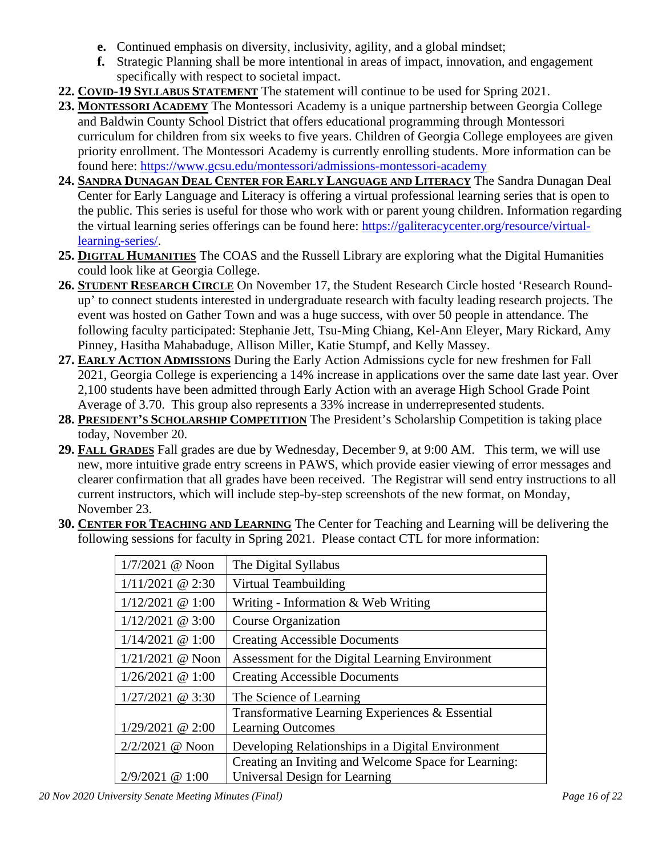- **e.** Continued emphasis on diversity, inclusivity, agility, and a global mindset;
- **f.** Strategic Planning shall be more intentional in areas of impact, innovation, and engagement specifically with respect to societal impact.
- **22. COVID-19 SYLLABUS STATEMENT** The statement will continue to be used for Spring 2021.
- **23. MONTESSORI ACADEMY** The Montessori Academy is a unique partnership between Georgia College and Baldwin County School District that offers educational programming through Montessori curriculum for children from six weeks to five years. Children of Georgia College employees are given priority enrollment. The Montessori Academy is currently enrolling students. More information can be found here: [https://www.gcsu.edu/montessori/admissions-montessori-academy](https://nam11.safelinks.protection.outlook.com/?url=https%3A%2F%2Fwww.gcsu.edu%2Fmontessori%2Fadmissions-montessori-academy&data=04%7C01%7Ccostas.spirou%40gcsu.edu%7C53a6edf6a4b74f6f45c708d88b3dc34d%7Cbfd29cfa8e7142e69abc953a6d6f07d6%7C0%7C0%7C637412444674640437%7CUnknown%7CTWFpbGZsb3d8eyJWIjoiMC4wLjAwMDAiLCJQIjoiV2luMzIiLCJBTiI6Ik1haWwiLCJXVCI6Mn0%3D%7C1000&sdata=f9NX4p3ix2WA7IL1ngW8VSB5m%2BG0JQEEsAUu78lG3Ns%3D&reserved=0)
- **24. SANDRA DUNAGAN DEAL CENTER FOR EARLY LANGUAGE AND LITERACY** The Sandra Dunagan Deal Center for Early Language and Literacy is offering a virtual professional learning series that is open to the public. This series is useful for those who work with or parent young children. Information regarding the virtual learning series offerings can be found here: [https://galiteracycenter.org/resource/virtual](https://nam11.safelinks.protection.outlook.com/?url=https%3A%2F%2Fgaliteracycenter.org%2Fresource%2Fvirtual-learning-series%2F&data=04%7C01%7Ccostas.spirou%40gcsu.edu%7C53a6edf6a4b74f6f45c708d88b3dc34d%7Cbfd29cfa8e7142e69abc953a6d6f07d6%7C0%7C0%7C637412444674640437%7CUnknown%7CTWFpbGZsb3d8eyJWIjoiMC4wLjAwMDAiLCJQIjoiV2luMzIiLCJBTiI6Ik1haWwiLCJXVCI6Mn0%3D%7C1000&sdata=tzQ3gCbfoE%2Fo0V%2FaQCgK%2FvleBVPcMhTDSHJhqHJNiAw%3D&reserved=0)[learning-series/.](https://nam11.safelinks.protection.outlook.com/?url=https%3A%2F%2Fgaliteracycenter.org%2Fresource%2Fvirtual-learning-series%2F&data=04%7C01%7Ccostas.spirou%40gcsu.edu%7C53a6edf6a4b74f6f45c708d88b3dc34d%7Cbfd29cfa8e7142e69abc953a6d6f07d6%7C0%7C0%7C637412444674640437%7CUnknown%7CTWFpbGZsb3d8eyJWIjoiMC4wLjAwMDAiLCJQIjoiV2luMzIiLCJBTiI6Ik1haWwiLCJXVCI6Mn0%3D%7C1000&sdata=tzQ3gCbfoE%2Fo0V%2FaQCgK%2FvleBVPcMhTDSHJhqHJNiAw%3D&reserved=0)
- **25. DIGITAL HUMANITIES** The COAS and the Russell Library are exploring what the Digital Humanities could look like at Georgia College.
- **26. STUDENT RESEARCH CIRCLE** On November 17, the Student Research Circle hosted 'Research Roundup' to connect students interested in undergraduate research with faculty leading research projects. The event was hosted on Gather Town and was a huge success, with over 50 people in attendance. The following faculty participated: Stephanie Jett, Tsu-Ming Chiang, Kel-Ann Eleyer, Mary Rickard, Amy Pinney, Hasitha Mahabaduge, Allison Miller, Katie Stumpf, and Kelly Massey.
- **27. EARLY ACTION ADMISSIONS** During the Early Action Admissions cycle for new freshmen for Fall 2021, Georgia College is experiencing a 14% increase in applications over the same date last year. Over 2,100 students have been admitted through Early Action with an average High School Grade Point Average of 3.70. This group also represents a 33% increase in underrepresented students.
- **28. PRESIDENT'S SCHOLARSHIP COMPETITION** The President's Scholarship Competition is taking place today, November 20.
- **29. FALL GRADES** Fall grades are due by Wednesday, December 9, at 9:00 AM. This term, we will use new, more intuitive grade entry screens in PAWS, which provide easier viewing of error messages and clearer confirmation that all grades have been received. The Registrar will send entry instructions to all current instructors, which will include step-by-step screenshots of the new format, on Monday, November 23.
- **30. CENTER FOR TEACHING AND LEARNING** The Center for Teaching and Learning will be delivering the following sessions for faculty in Spring 2021. Please contact CTL for more information:

| $1/7/2021$ @ Noon      | The Digital Syllabus                                 |
|------------------------|------------------------------------------------------|
| $1/11/2021 \ @ \ 2:30$ | Virtual Teambuilding                                 |
| $1/12/2021 \ @ \ 1:00$ | Writing - Information & Web Writing                  |
| $1/12/2021 \ @ \ 3:00$ | <b>Course Organization</b>                           |
| $1/14/2021 \t@ 1:00$   | <b>Creating Accessible Documents</b>                 |
| $1/21/2021$ @ Noon     | Assessment for the Digital Learning Environment      |
| $1/26/2021 \ @ \ 1:00$ | <b>Creating Accessible Documents</b>                 |
| $1/27/2021$ @ 3:30     | The Science of Learning                              |
|                        | Transformative Learning Experiences & Essential      |
| $1/29/2021$ @ 2:00     | <b>Learning Outcomes</b>                             |
| 2/2/2021 @ Noon        | Developing Relationships in a Digital Environment    |
|                        | Creating an Inviting and Welcome Space for Learning: |
| 2/9/2021 @ 1:00        | Universal Design for Learning                        |

*20 Nov 2020 University Senate Meeting Minutes (Final) Page 16 of 22*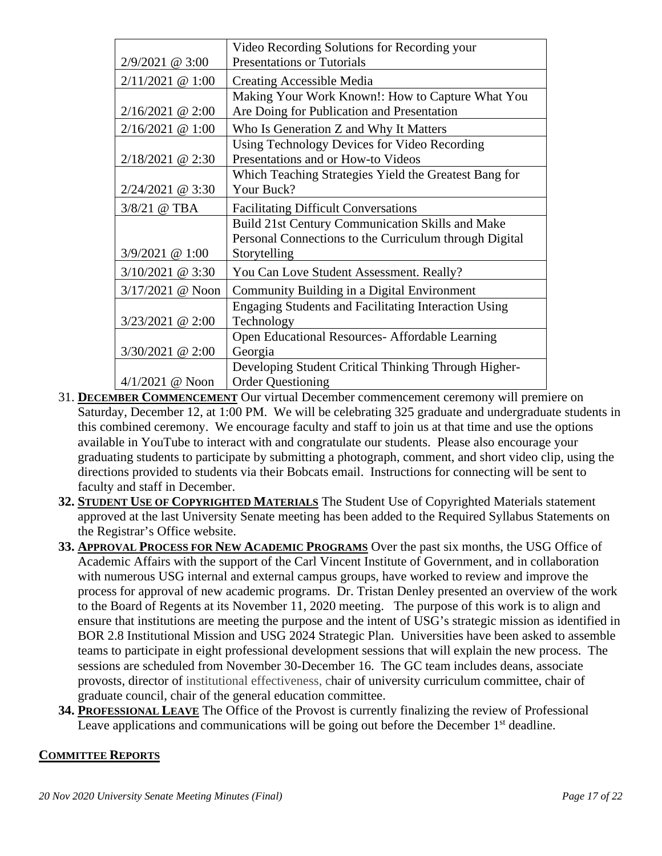|                      | Video Recording Solutions for Recording your                |
|----------------------|-------------------------------------------------------------|
| $2/9/2021$ @ 3:00    | <b>Presentations or Tutorials</b>                           |
| $2/11/2021 \t@ 1:00$ | <b>Creating Accessible Media</b>                            |
|                      | Making Your Work Known!: How to Capture What You            |
| 2/16/2021 @ 2:00     | Are Doing for Publication and Presentation                  |
| 2/16/2021 @ 1:00     | Who Is Generation Z and Why It Matters                      |
|                      | Using Technology Devices for Video Recording                |
| $2/18/2021$ @ 2:30   | Presentations and or How-to Videos                          |
|                      | Which Teaching Strategies Yield the Greatest Bang for       |
| $2/24/2021$ @ 3:30   | Your Buck?                                                  |
| 3/8/21 @ TBA         | <b>Facilitating Difficult Conversations</b>                 |
|                      | <b>Build 21st Century Communication Skills and Make</b>     |
|                      | Personal Connections to the Curriculum through Digital      |
| 3/9/2021 @ 1:00      | Storytelling                                                |
| 3/10/2021 @ 3:30     | You Can Love Student Assessment. Really?                    |
| $3/17/2021$ @ Noon   | Community Building in a Digital Environment                 |
|                      | <b>Engaging Students and Facilitating Interaction Using</b> |
| 3/23/2021 @ 2:00     | Technology                                                  |
|                      | Open Educational Resources- Affordable Learning             |
| 3/30/2021 @ 2:00     | Georgia                                                     |
|                      | Developing Student Critical Thinking Through Higher-        |
| $4/1/2021$ @ Noon    | <b>Order Questioning</b>                                    |

- 31. **DECEMBER COMMENCEMENT** Our virtual December commencement ceremony will premiere on Saturday, December 12, at 1:00 PM. We will be celebrating 325 graduate and undergraduate students in this combined ceremony. We encourage faculty and staff to join us at that time and use the options available in YouTube to interact with and congratulate our students. Please also encourage your graduating students to participate by submitting a photograph, comment, and short video clip, using the directions provided to students via their Bobcats email. Instructions for connecting will be sent to faculty and staff in December.
- **32. STUDENT USE OF COPYRIGHTED MATERIALS** The Student Use of Copyrighted Materials statement approved at the last University Senate meeting has been added to the Required Syllabus Statements on the Registrar's Office website.
- **33. APPROVAL PROCESS FOR NEW ACADEMIC PROGRAMS** Over the past six months, the USG Office of Academic Affairs with the support of the Carl Vincent Institute of Government, and in collaboration with numerous USG internal and external campus groups, have worked to review and improve the process for approval of new academic programs. Dr. Tristan Denley presented an overview of the work to the Board of Regents at its November 11, 2020 meeting. The purpose of this work is to align and ensure that institutions are meeting the purpose and the intent of USG's strategic mission as identified in BOR 2.8 Institutional Mission and USG 2024 Strategic Plan. Universities have been asked to assemble teams to participate in eight professional development sessions that will explain the new process. The sessions are scheduled from November 30-December 16. The GC team includes deans, associate provosts, director of institutional effectiveness, chair of university curriculum committee, chair of graduate council, chair of the general education committee.
- **34. PROFESSIONAL LEAVE** The Office of the Provost is currently finalizing the review of Professional Leave applications and communications will be going out before the December  $1<sup>st</sup>$  deadline.

#### **COMMITTEE REPORTS**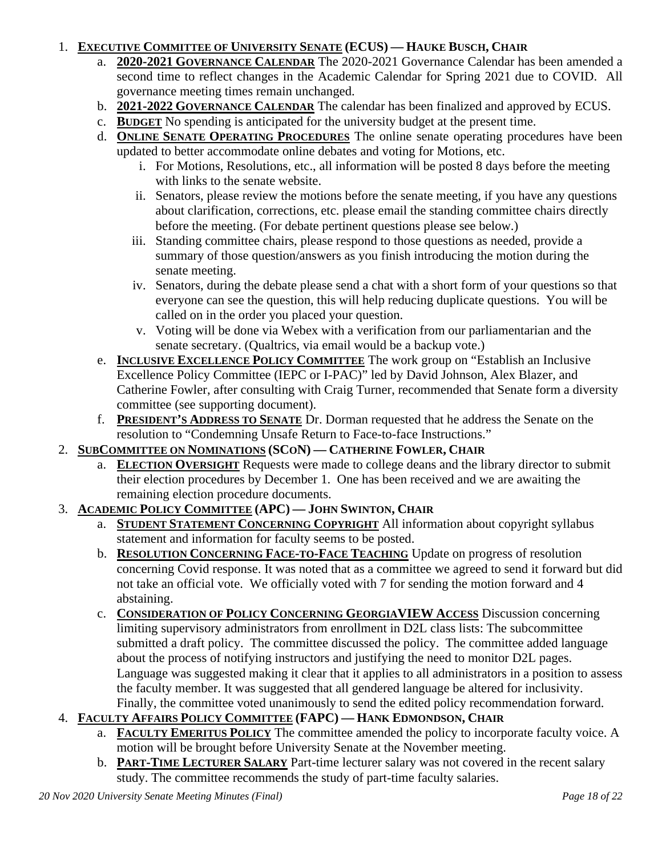# 1. **EXECUTIVE COMMITTEE OF UNIVERSITY SENATE (ECUS) — HAUKE BUSCH, CHAIR**

- a. **2020-2021 GOVERNANCE CALENDAR** The 2020-2021 Governance Calendar has been amended a second time to reflect changes in the Academic Calendar for Spring 2021 due to COVID. All governance meeting times remain unchanged.
- b. **2021-2022 GOVERNANCE CALENDAR** The calendar has been finalized and approved by ECUS.
- c. **BUDGET** No spending is anticipated for the university budget at the present time.
- d. **ONLINE SENATE OPERATING PROCEDURES** The online senate operating procedures have been updated to better accommodate online debates and voting for Motions, etc.
	- i. For Motions, Resolutions, etc., all information will be posted 8 days before the meeting with links to the senate website.
	- ii. Senators, please review the motions before the senate meeting, if you have any questions about clarification, corrections, etc. please email the standing committee chairs directly before the meeting. (For debate pertinent questions please see below.)
	- iii. Standing committee chairs, please respond to those questions as needed, provide a summary of those question/answers as you finish introducing the motion during the senate meeting.
	- iv. Senators, during the debate please send a chat with a short form of your questions so that everyone can see the question, this will help reducing duplicate questions. You will be called on in the order you placed your question.
	- v. Voting will be done via Webex with a verification from our parliamentarian and the senate secretary. (Qualtrics, via email would be a backup vote.)
- e. **INCLUSIVE EXCELLENCE POLICY COMMITTEE** The work group on "Establish an Inclusive Excellence Policy Committee (IEPC or I-PAC)" led by David Johnson, Alex Blazer, and Catherine Fowler, after consulting with Craig Turner, recommended that Senate form a diversity committee (see supporting document).
- f. **PRESIDENT'S ADDRESS TO SENATE** Dr. Dorman requested that he address the Senate on the resolution to "Condemning Unsafe Return to Face-to-face Instructions."
- 2. **SUBCOMMITTEE ON NOMINATIONS (SCON) — CATHERINE FOWLER, CHAIR**
	- a. **ELECTION OVERSIGHT** Requests were made to college deans and the library director to submit their election procedures by December 1. One has been received and we are awaiting the remaining election procedure documents.

# 3. **ACADEMIC POLICY COMMITTEE (APC) — JOHN SWINTON, CHAIR**

- a. **STUDENT STATEMENT CONCERNING COPYRIGHT** All information about copyright syllabus statement and information for faculty seems to be posted.
- b. **RESOLUTION CONCERNING FACE-TO-FACE TEACHING** Update on progress of resolution concerning Covid response. It was noted that as a committee we agreed to send it forward but did not take an official vote. We officially voted with 7 for sending the motion forward and 4 abstaining.
- c. **CONSIDERATION OF POLICY CONCERNING GEORGIAVIEW ACCESS** Discussion concerning limiting supervisory administrators from enrollment in D2L class lists: The subcommittee submitted a draft policy. The committee discussed the policy. The committee added language about the process of notifying instructors and justifying the need to monitor D2L pages. Language was suggested making it clear that it applies to all administrators in a position to assess the faculty member. It was suggested that all gendered language be altered for inclusivity. Finally, the committee voted unanimously to send the edited policy recommendation forward.

## 4. **FACULTY AFFAIRS POLICY COMMITTEE (FAPC) — HANK EDMONDSON, CHAIR**

- a. **FACULTY EMERITUS POLICY** The committee amended the policy to incorporate faculty voice. A motion will be brought before University Senate at the November meeting.
- b. **PART-TIME LECTURER SALARY** Part-time lecturer salary was not covered in the recent salary study. The committee recommends the study of part-time faculty salaries.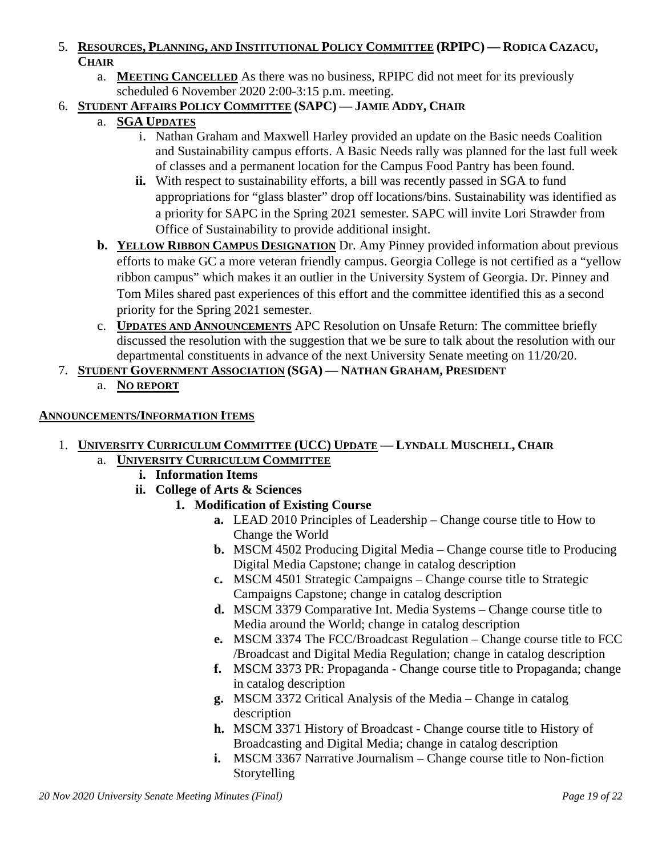- 5. **RESOURCES, PLANNING, AND INSTITUTIONAL POLICY COMMITTEE (RPIPC) — RODICA CAZACU, CHAIR**
	- a. **MEETING CANCELLED** As there was no business, RPIPC did not meet for its previously scheduled 6 November 2020 2:00-3:15 p.m. meeting.

# 6. **STUDENT AFFAIRS POLICY COMMITTEE (SAPC) — JAMIE ADDY, CHAIR**

- a. **SGA UPDATES**
	- i. Nathan Graham and Maxwell Harley provided an update on the Basic needs Coalition and Sustainability campus efforts. A Basic Needs rally was planned for the last full week of classes and a permanent location for the Campus Food Pantry has been found.
	- **ii.** With respect to sustainability efforts, a bill was recently passed in SGA to fund appropriations for "glass blaster" drop off locations/bins. Sustainability was identified as a priority for SAPC in the Spring 2021 semester. SAPC will invite Lori Strawder from Office of Sustainability to provide additional insight.
- **b. YELLOW RIBBON CAMPUS DESIGNATION** Dr. Amy Pinney provided information about previous efforts to make GC a more veteran friendly campus. Georgia College is not certified as a "yellow ribbon campus" which makes it an outlier in the University System of Georgia. Dr. Pinney and Tom Miles shared past experiences of this effort and the committee identified this as a second priority for the Spring 2021 semester.
- c. **UPDATES AND ANNOUNCEMENTS** APC Resolution on Unsafe Return: The committee briefly discussed the resolution with the suggestion that we be sure to talk about the resolution with our departmental constituents in advance of the next University Senate meeting on 11/20/20.
- 7. **STUDENT GOVERNMENT ASSOCIATION (SGA) — NATHAN GRAHAM, PRESIDENT**
	- a. **NO REPORT**

## **ANNOUNCEMENTS/INFORMATION ITEMS**

- 1. **UNIVERSITY CURRICULUM COMMITTEE (UCC) UPDATE — LYNDALL MUSCHELL, CHAIR** a. **UNIVERSITY CURRICULUM COMMITTEE**
	- **i. Information Items** 
		- **ii. College of Arts & Sciences** 
			- **1. Modification of Existing Course**
				- **a.** LEAD 2010 Principles of Leadership Change course title to How to Change the World
				- **b.** MSCM 4502 Producing Digital Media Change course title to Producing Digital Media Capstone; change in catalog description
				- **c.** MSCM 4501 Strategic Campaigns Change course title to Strategic Campaigns Capstone; change in catalog description
				- **d.** MSCM 3379 Comparative Int. Media Systems Change course title to Media around the World; change in catalog description
				- **e.** MSCM 3374 The FCC/Broadcast Regulation Change course title to FCC /Broadcast and Digital Media Regulation; change in catalog description
				- **f.** MSCM 3373 PR: Propaganda Change course title to Propaganda; change in catalog description
				- **g.** MSCM 3372 Critical Analysis of the Media Change in catalog description
				- **h.** MSCM 3371 History of Broadcast Change course title to History of Broadcasting and Digital Media; change in catalog description
				- **i.** MSCM 3367 Narrative Journalism Change course title to Non-fiction Storytelling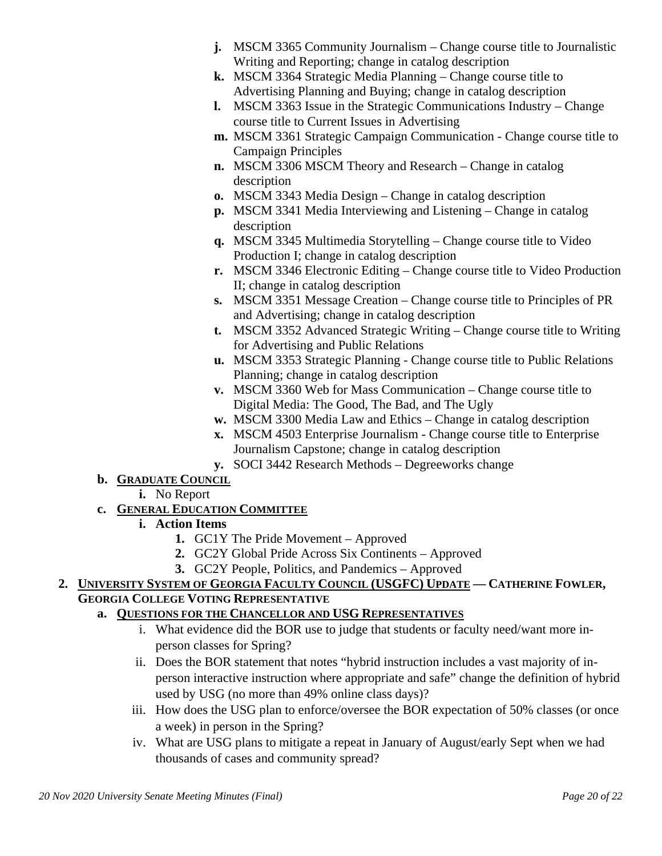- **j.** MSCM 3365 Community Journalism Change course title to Journalistic Writing and Reporting; change in catalog description
- **k.** MSCM 3364 Strategic Media Planning Change course title to Advertising Planning and Buying; change in catalog description
- **l.** MSCM 3363 Issue in the Strategic Communications Industry Change course title to Current Issues in Advertising
- **m.** MSCM 3361 Strategic Campaign Communication Change course title to Campaign Principles
- **n.** MSCM 3306 MSCM Theory and Research Change in catalog description
- **o.** MSCM 3343 Media Design Change in catalog description
- **p.** MSCM 3341 Media Interviewing and Listening Change in catalog description
- **q.** MSCM 3345 Multimedia Storytelling Change course title to Video Production I; change in catalog description
- **r.** MSCM 3346 Electronic Editing Change course title to Video Production II; change in catalog description
- **s.** MSCM 3351 Message Creation Change course title to Principles of PR and Advertising; change in catalog description
- **t.** MSCM 3352 Advanced Strategic Writing Change course title to Writing for Advertising and Public Relations
- **u.** MSCM 3353 Strategic Planning Change course title to Public Relations Planning; change in catalog description
- **v.** MSCM 3360 Web for Mass Communication Change course title to Digital Media: The Good, The Bad, and The Ugly
- **w.** MSCM 3300 Media Law and Ethics Change in catalog description
- **x.** MSCM 4503 Enterprise Journalism Change course title to Enterprise Journalism Capstone; change in catalog description
- **y.** SOCI 3442 Research Methods Degreeworks change

# **b. GRADUATE COUNCIL**

- **i.** No Report
- **c. GENERAL EDUCATION COMMITTEE**
	- **i. Action Items**
		- **1.** GC1Y The Pride Movement Approved
		- **2.** GC2Y Global Pride Across Six Continents Approved
		- **3.** GC2Y People, Politics, and Pandemics Approved

#### **2. UNIVERSITY SYSTEM OF GEORGIA FACULTY COUNCIL (USGFC) UPDATE — CATHERINE FOWLER, GEORGIA COLLEGE VOTING REPRESENTATIVE**

# **a. QUESTIONS FOR THE CHANCELLOR AND USG REPRESENTATIVES**

- i. What evidence did the BOR use to judge that students or faculty need/want more inperson classes for Spring?
- ii. Does the BOR statement that notes "hybrid instruction includes a vast majority of inperson interactive instruction where appropriate and safe" change the definition of hybrid used by USG (no more than 49% online class days)?
- iii. How does the USG plan to enforce/oversee the BOR expectation of 50% classes (or once a week) in person in the Spring?
- iv. What are USG plans to mitigate a repeat in January of August/early Sept when we had thousands of cases and community spread?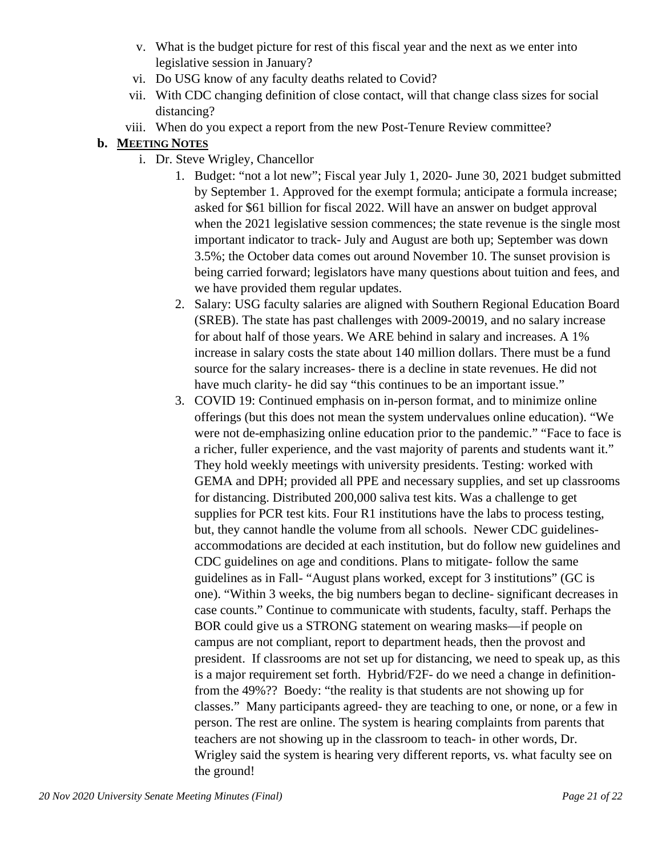- v. What is the budget picture for rest of this fiscal year and the next as we enter into legislative session in January?
- vi. Do USG know of any faculty deaths related to Covid?
- vii. With CDC changing definition of close contact, will that change class sizes for social distancing?
- viii. When do you expect a report from the new Post-Tenure Review committee?

# **b. MEETING NOTES**

- i. Dr. Steve Wrigley, Chancellor
	- 1. Budget: "not a lot new"; Fiscal year July 1, 2020- June 30, 2021 budget submitted by September 1. Approved for the exempt formula; anticipate a formula increase; asked for \$61 billion for fiscal 2022. Will have an answer on budget approval when the 2021 legislative session commences; the state revenue is the single most important indicator to track- July and August are both up; September was down 3.5%; the October data comes out around November 10. The sunset provision is being carried forward; legislators have many questions about tuition and fees, and we have provided them regular updates.
	- 2. Salary: USG faculty salaries are aligned with Southern Regional Education Board (SREB). The state has past challenges with 2009-20019, and no salary increase for about half of those years. We ARE behind in salary and increases. A 1% increase in salary costs the state about 140 million dollars. There must be a fund source for the salary increases- there is a decline in state revenues. He did not have much clarity- he did say "this continues to be an important issue."
	- 3. COVID 19: Continued emphasis on in-person format, and to minimize online offerings (but this does not mean the system undervalues online education). "We were not de-emphasizing online education prior to the pandemic." "Face to face is a richer, fuller experience, and the vast majority of parents and students want it." They hold weekly meetings with university presidents. Testing: worked with GEMA and DPH; provided all PPE and necessary supplies, and set up classrooms for distancing. Distributed 200,000 saliva test kits. Was a challenge to get supplies for PCR test kits. Four R1 institutions have the labs to process testing, but, they cannot handle the volume from all schools. Newer CDC guidelinesaccommodations are decided at each institution, but do follow new guidelines and CDC guidelines on age and conditions. Plans to mitigate- follow the same guidelines as in Fall- "August plans worked, except for 3 institutions" (GC is one). "Within 3 weeks, the big numbers began to decline- significant decreases in case counts." Continue to communicate with students, faculty, staff. Perhaps the BOR could give us a STRONG statement on wearing masks—if people on campus are not compliant, report to department heads, then the provost and president. If classrooms are not set up for distancing, we need to speak up, as this is a major requirement set forth. Hybrid/F2F- do we need a change in definitionfrom the 49%?? Boedy: "the reality is that students are not showing up for classes." Many participants agreed- they are teaching to one, or none, or a few in person. The rest are online. The system is hearing complaints from parents that teachers are not showing up in the classroom to teach- in other words, Dr. Wrigley said the system is hearing very different reports, vs. what faculty see on the ground!